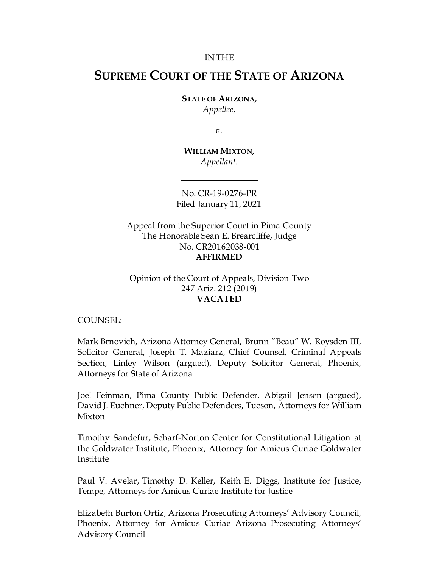#### IN THE

# **SUPREME COURT OF THE STATE OF ARIZONA**

**STATE OF ARIZONA,** *Appellee*,

*v.*

**WILLIAM MIXTON,** *Appellant*.

No. CR-19-0276-PR Filed January 11, 2021

Appeal from the Superior Court in Pima County The Honorable Sean E. Brearcliffe, Judge No. CR20162038-001 **AFFIRMED**

Opinion of the Court of Appeals, Division Two 247 Ariz. 212 (2019) **VACATED**

COUNSEL:

Mark Brnovich, Arizona Attorney General, Brunn "Beau" W. Roysden III, Solicitor General, Joseph T. Maziarz, Chief Counsel, Criminal Appeals Section, Linley Wilson (argued), Deputy Solicitor General, Phoenix, Attorneys for State of Arizona

Joel Feinman, Pima County Public Defender, Abigail Jensen (argued), David J. Euchner, Deputy Public Defenders, Tucson, Attorneys for William Mixton

Timothy Sandefur, Scharf-Norton Center for Constitutional Litigation at the Goldwater Institute, Phoenix, Attorney for Amicus Curiae Goldwater Institute

Paul V. Avelar, Timothy D. Keller, Keith E. Diggs, Institute for Justice, Tempe, Attorneys for Amicus Curiae Institute for Justice

Elizabeth Burton Ortiz, Arizona Prosecuting Attorneys' Advisory Council, Phoenix, Attorney for Amicus Curiae Arizona Prosecuting Attorneys' Advisory Council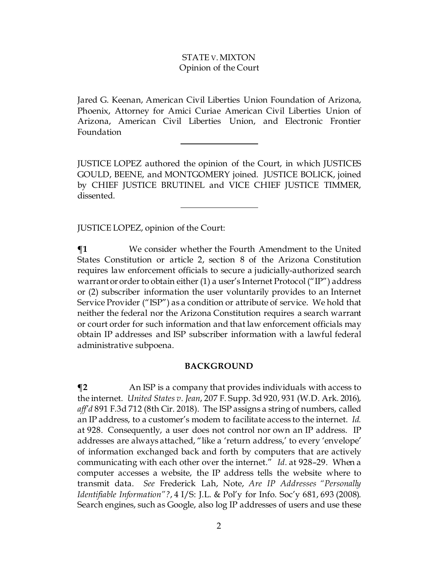Jared G. Keenan, American Civil Liberties Union Foundation of Arizona, Phoenix, Attorney for Amici Curiae American Civil Liberties Union of Arizona, American Civil Liberties Union, and Electronic Frontier Foundation

JUSTICE LOPEZ authored the opinion of the Court, in which JUSTICES GOULD, BEENE, and MONTGOMERY joined. JUSTICE BOLICK, joined by CHIEF JUSTICE BRUTINEL and VICE CHIEF JUSTICE TIMMER, dissented.

JUSTICE LOPEZ, opinion of the Court:

**¶1** We consider whether the Fourth Amendment to the United States Constitution or article 2, section 8 of the Arizona Constitution requires law enforcement officials to secure a judicially-authorized search warrant or order to obtain either (1) a user's Internet Protocol ("IP") address or (2) subscriber information the user voluntarily provides to an Internet Service Provider ("ISP") as a condition or attribute of service. We hold that neither the federal nor the Arizona Constitution requires a search warrant or court order for such information and that law enforcement officials may obtain IP addresses and ISP subscriber information with a lawful federal administrative subpoena.

#### **BACKGROUND**

 $\P$ **2** An ISP is a company that provides individuals with access to the internet. *United States v. Jean*, 207 F. Supp. 3d 920, 931 (W.D. Ark. 2016), *aff'd* 891 F.3d 712 (8th Cir. 2018). The ISP assigns a string of numbers, called an IP address, to a customer's modem to facilitate access to the internet. *Id.*  at 928. Consequently, a user does not control nor own an IP address. IP addresses are always attached, "like a 'return address,' to every 'envelope' of information exchanged back and forth by computers that are actively communicating with each other over the internet." *Id.* at 928–29. When a computer accesses a website, the IP address tells the website where to transmit data. *See* Frederick Lah, Note, *Are IP Addresses "Personally Identifiable Information"?*, 4 I/S: J.L. & Pol'y for Info. Soc'y 681, 693 (2008). Search engines, such as Google, also log IP addresses of users and use these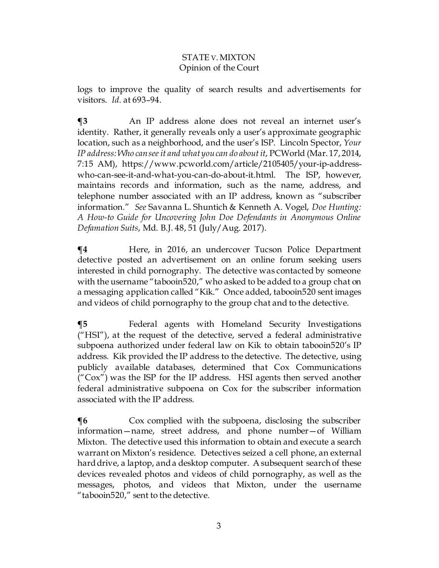logs to improve the quality of search results and advertisements for visitors. *Id.* at 693–94.

**¶3** An IP address alone does not reveal an internet user's identity. Rather, it generally reveals only a user's approximate geographic location, such as a neighborhood, and the user's ISP. Lincoln Spector, *Your IP address: Who can see it and what you can do about it*, PCWorld (Mar. 17, 2014, 7:15 AM), https://www.pcworld.com/article/2105405/your-ip-addresswho-can-see-it-and-what-you-can-do-about-it.html. The ISP, however, maintains records and information, such as the name, address, and telephone number associated with an IP address, known as "subscriber information." *See* Savanna L. Shuntich & Kenneth A. Vogel, *Doe Hunting: A How-to Guide for Uncovering John Doe Defendants in Anonymous Online Defamation Suits*, Md. B.J. 48, 51 (July/Aug. 2017).

 $\P$ **4** Here, in 2016, an undercover Tucson Police Department detective posted an advertisement on an online forum seeking users interested in child pornography. The detective was contacted by someone with the username "tabooin520," who asked to be added to a group chat on a messaging application called "Kik." Once added, tabooin520 sent images and videos of child pornography to the group chat and to the detective.

**¶5** Federal agents with Homeland Security Investigations ("HSI"), at the request of the detective, served a federal administrative subpoena authorized under federal law on Kik to obtain tabooin520's IP address. Kik provided the IP address to the detective. The detective, using publicly available databases, determined that Cox Communications  $($ "Cox") was the ISP for the IP address. HSI agents then served another federal administrative subpoena on Cox for the subscriber information associated with the IP address.

**The** Cox complied with the subpoena, disclosing the subscriber information—name, street address, and phone number—of William Mixton. The detective used this information to obtain and execute a search warrant on Mixton's residence. Detectives seized a cell phone, an external hard drive, a laptop, and a desktop computer. A subsequent search of these devices revealed photos and videos of child pornography, as well as the messages, photos, and videos that Mixton, under the username "tabooin520," sent to the detective.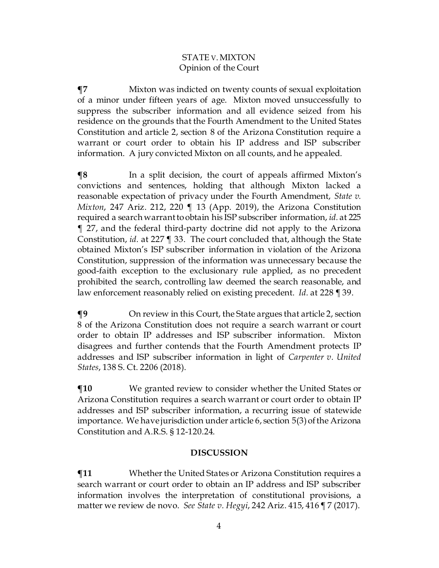**¶7** Mixton was indicted on twenty counts of sexual exploitation of a minor under fifteen years of age. Mixton moved unsuccessfully to suppress the subscriber information and all evidence seized from his residence on the grounds that the Fourth Amendment to the United States Constitution and article 2, section 8 of the Arizona Constitution require a warrant or court order to obtain his IP address and ISP subscriber information. A jury convicted Mixton on all counts, and he appealed.

 $\P$ **8** In a split decision, the court of appeals affirmed Mixton's convictions and sentences, holding that although Mixton lacked a reasonable expectation of privacy under the Fourth Amendment, *State v. Mixton*, 247 Ariz. 212, 220 ¶ 13 (App. 2019), the Arizona Constitution required a search warrant to obtain his ISP subscriber information, *id.* at 225 ¶ 27, and the federal third-party doctrine did not apply to the Arizona Constitution, *id.* at 227 ¶ 33. The court concluded that, although the State obtained Mixton's ISP subscriber information in violation of the Arizona Constitution, suppression of the information was unnecessary because the good-faith exception to the exclusionary rule applied, as no precedent prohibited the search, controlling law deemed the search reasonable, and law enforcement reasonably relied on existing precedent. *Id.* at 228 ¶ 39.

**¶9** On review in this Court, the State argues that article 2, section 8 of the Arizona Constitution does not require a search warrant or court order to obtain IP addresses and ISP subscriber information. Mixton disagrees and further contends that the Fourth Amendment protects IP addresses and ISP subscriber information in light of *Carpenter v. United States*, 138 S. Ct. 2206 (2018).

**¶10** We granted review to consider whether the United States or Arizona Constitution requires a search warrant or court order to obtain IP addresses and ISP subscriber information, a recurring issue of statewide importance. We have jurisdiction under article 6, section 5(3) of the Arizona Constitution and A.R.S. § 12-120.24.

## **DISCUSSION**

**¶11** Whether the United States or Arizona Constitution requires a search warrant or court order to obtain an IP address and ISP subscriber information involves the interpretation of constitutional provisions, a matter we review de novo. *See State v. Hegyi*, 242 Ariz. 415, 416 ¶ 7 (2017).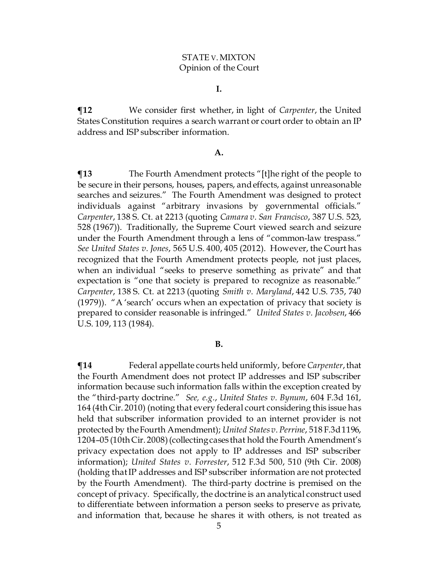#### **I.**

**¶12** We consider first whether, in light of *Carpenter*, the United States Constitution requires a search warrant or court order to obtain an IP address and ISP subscriber information.

#### **A.**

**¶13** The Fourth Amendment protects "[t]he right of the people to be secure in their persons, houses, papers, and effects, against unreasonable searches and seizures." The Fourth Amendment was designed to protect individuals against "arbitrary invasions by governmental officials." *Carpenter*, 138 S. Ct. at 2213 (quoting *Camara v. San Francisco*, 387 U.S. 523, 528 (1967)). Traditionally, the Supreme Court viewed search and seizure under the Fourth Amendment through a lens of "common-law trespass." *See United States v. Jones*, 565 U.S. 400, 405 (2012). However, the Court has recognized that the Fourth Amendment protects people, not just places, when an individual "seeks to preserve something as private" and that expectation is "one that society is prepared to recognize as reasonable." *Carpenter*, 138 S. Ct. at 2213 (quoting *Smith v. Maryland*, 442 U.S. 735, 740 (1979)). "A 'search' occurs when an expectation of privacy that society is prepared to consider reasonable is infringed." *United States v. Jacobsen*, 466 U.S. 109, 113 (1984).

#### **B.**

**¶14** Federal appellate courts held uniformly, before *Carpenter*,that the Fourth Amendment does not protect IP addresses and ISP subscriber information because such information falls within the exception created by the "third-party doctrine." *See, e.g.*, *United States v. Bynum*, 604 F.3d 161, 164 (4th Cir. 2010) (noting that every federal court considering this issue has held that subscriber information provided to an internet provider is not protected by the Fourth Amendment); *United States v.Perrine*, 518 [F.3d1196,](https://1.next.westlaw.com/Link/Document/FullText?findType=Y&serNum=2015456672&pubNum=506&originatingDoc=I7c6e0aa359ea11df9988d233d23fe599&refType=RP&fi=co_pp_sp_506_1204&originationContext=document&transitionType=DocumentItem&contextData=(sc.UserEnteredCitation)#co_pp_sp_506_1204) [1204–05](https://1.next.westlaw.com/Link/Document/FullText?findType=Y&serNum=2015456672&pubNum=506&originatingDoc=I7c6e0aa359ea11df9988d233d23fe599&refType=RP&fi=co_pp_sp_506_1204&originationContext=document&transitionType=DocumentItem&contextData=(sc.UserEnteredCitation)#co_pp_sp_506_1204) (10th Cir. 2008)(collecting cases that hold the Fourth Amendment's privacy expectation does not apply to IP addresses and ISP subscriber information); *United States v. Forrester*, 512 F.3d 500, 510 (9th Cir. 2008) (holding that IP addresses and ISP subscriber information are not protected by the Fourth Amendment). The third-party doctrine is premised on the concept of privacy. Specifically, the doctrine is an analytical construct used to differentiate between information a person seeks to preserve as private, and information that, because he shares it with others, is not treated as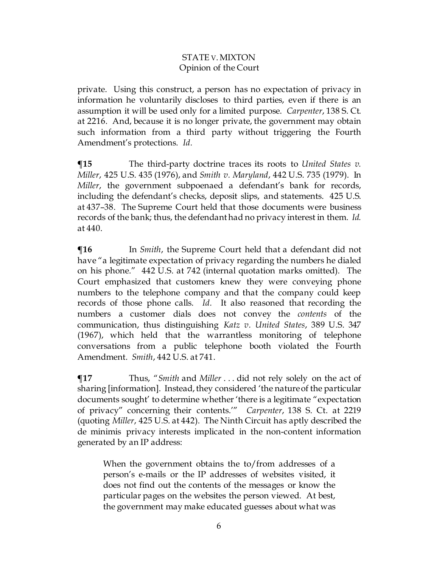private. Using this construct, a person has no expectation of privacy in information he voluntarily discloses to third parties, even if there is an assumption it will be used only for a limited purpose. *Carpenter*, 138 S. Ct. at 2216. And, because it is no longer private, the government may obtain such information from a third party without triggering the Fourth Amendment's protections. *Id.*

**¶15** The third-party doctrine traces its roots to *United States v. Miller*, 425 U.S. 435 (1976), and *Smith v. Maryland*, 442 U.S. 735 (1979). In *Miller*, the government subpoenaed a defendant's bank for records, including the defendant's checks, deposit slips, and statements. 425 U.S. at 437–38. The Supreme Court held that those documents were business records of the bank; thus, the defendanthad no privacy interest in them. *Id.* at 440.

**¶16** In *Smith*, the Supreme Court held that a defendant did not have "a legitimate expectation of privacy regarding the numbers he dialed on his phone." 442 U.S. at 742 (internal quotation marks omitted). The Court emphasized that customers knew they were conveying phone numbers to the telephone company and that the company could keep records of those phone calls. *Id.* It also reasoned that recording the numbers a customer dials does not convey the *contents* of the communication, thus distinguishing *Katz v. United States*, 389 U.S. 347 (1967), which held that the warrantless monitoring of telephone conversations from a public telephone booth violated the Fourth Amendment. *Smith*, 442 U.S. at 741.

**¶17** Thus, "*Smith* and *Miller* . . . did not rely solely on the act of sharing [information]. Instead, they considered 'the nature of the particular documents sought' to determine whether 'there is a legitimate "expectation of privacy" concerning their contents.'" *Carpenter*, 138 S. Ct. at 2219 (quoting *Miller*, 425 U.S. at 442). The Ninth Circuit has aptly described the de minimis privacy interests implicated in the non-content information generated by an IP address:

When the government obtains the to/from addresses of a person's e-mails or the IP addresses of websites visited, it does not find out the contents of the messages or know the particular pages on the websites the person viewed. At best, the government may make educated guesses about what was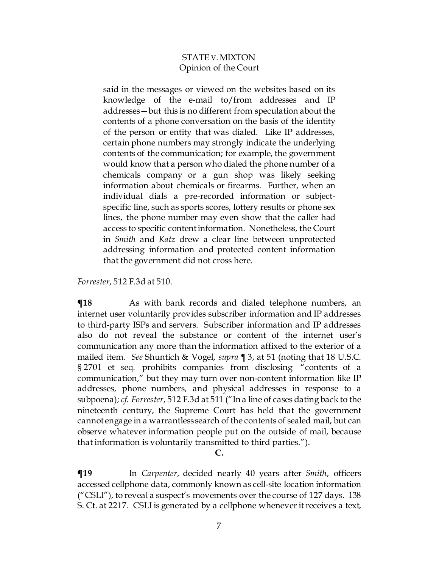said in the messages or viewed on the websites based on its knowledge of the e-mail to/from addresses and IP addresses—but this is no different from speculation about the contents of a phone conversation on the basis of the identity of the person or entity that was dialed. Like IP addresses, certain phone numbers may strongly indicate the underlying contents of the communication; for example, the government would know that a person who dialed the phone number of a chemicals company or a gun shop was likely seeking information about chemicals or firearms. Further, when an individual dials a pre-recorded information or subjectspecific line, such as sports scores, lottery results or phone sex lines, the phone number may even show that the caller had access to specific content information. Nonetheless, the Court in *Smith* and *Katz* drew a clear line between unprotected addressing information and protected content information that the government did not cross here.

*Forrester*, 512 F.3d at 510.

**¶18** As with bank records and dialed telephone numbers, an internet user voluntarily provides subscriber information and IP addresses to third-party ISPs and servers. Subscriber information and IP addresses also do not reveal the substance or content of the internet user's communication any more than the information affixed to the exterior of a mailed item. *See* Shuntich & Vogel, *supra ¶* 3, at 51 (noting that 18 U.S.C. § 2701 et seq. prohibits companies from disclosing "contents of a communication," but they may turn over non-content information like IP addresses, phone numbers, and physical addresses in response to a subpoena); *cf. Forrester*, 512 F.3d at 511 ("In a line of cases dating back to the nineteenth century, the Supreme Court has held that the government cannot engage in a warrantless search of the contents of sealed mail, but can observe whatever information people put on the outside of mail, because that information is voluntarily transmitted to third parties.").

**C.**

**¶19** In *Carpenter*, decided nearly 40 years after *Smith*, officers accessed cellphone data, commonly known as cell-site location information ("CSLI"), to reveal a suspect's movements over the course of 127 days. 138 S. Ct. at 2217. CSLI is generated by a cellphone whenever it receives a text,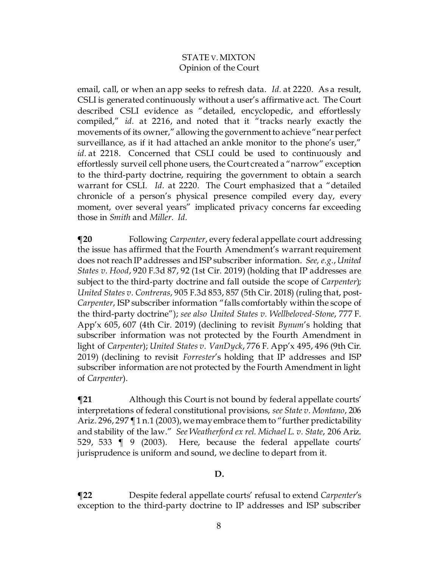email, call, or when an app seeks to refresh data. *Id.* at 2220. As a result, CSLI is generated continuously without a user's affirmative act. The Court described CSLI evidence as "detailed, encyclopedic, and effortlessly compiled," *id.* at 2216, and noted that it "tracks nearly exactly the movements of its owner," allowing the government to achieve "near perfect surveillance, as if it had attached an ankle monitor to the phone's user," *id.* at 2218. Concerned that CSLI could be used to continuously and effortlessly surveil cell phone users, the Court created a "narrow" exception to the third-party doctrine, requiring the government to obtain a search warrant for CSLI. *Id.* at 2220*.* The Court emphasized that a "detailed chronicle of a person's physical presence compiled every day, every moment, over several years" implicated privacy concerns far exceeding those in *Smith* and *Miller*. *Id.*

**¶20** Following *Carpenter*, every federal appellate court addressing the issue has affirmed that the Fourth Amendment's warrant requirement does not reach IP addresses and ISP subscriber information. *See, e.g.*, *United States v. Hood*, 920 F.3d 87, 92 (1st Cir. 2019) (holding that IP addresses are subject to the third-party doctrine and fall outside the scope of *Carpenter*); *United States v. Contreras*, 905 F.3d 853, 857 (5th Cir. 2018) (ruling that, post-*Carpenter*, ISP subscriber information "falls comfortably within the scope of the third-party doctrine"); *see also United States v. Wellbeloved-Stone*, 777 F. App'x 605, 607 (4th Cir. 2019) (declining to revisit *Bynum*'s holding that subscriber information was not protected by the Fourth Amendment in light of *Carpenter*); *United States v. VanDyck*, 776 F. App'x 495, 496 (9th Cir. 2019) (declining to revisit *Forrester*'s holding that IP addresses and ISP subscriber information are not protected by the Fourth Amendment in light of *Carpenter*).

**¶21** Although this Court is not bound by federal appellate courts' interpretations of federal constitutional provisions, *see State v. Montano*, 206 Ariz. 296, 297 ¶ 1 n.1 (2003), we may embrace them to "further predictability and stability of the law." *See Weatherford ex rel. Michael L. v. State*, 206 Ariz. 529, 533 ¶ 9 (2003). Here, because the federal appellate courts' jurisprudence is uniform and sound, we decline to depart from it.

## **D.**

**¶22** Despite federal appellate courts' refusal to extend *Carpenter*'s exception to the third-party doctrine to IP addresses and ISP subscriber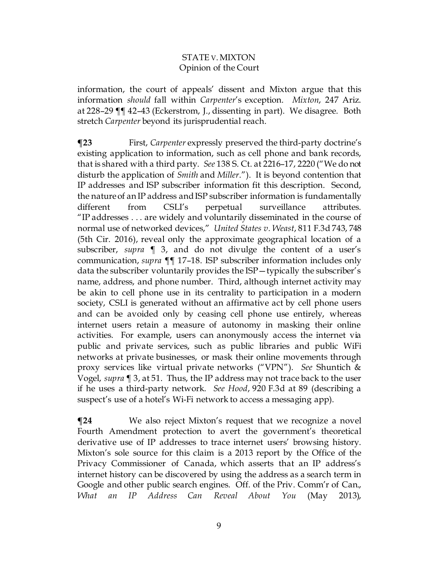information, the court of appeals' dissent and Mixton argue that this information *should* fall within *Carpenter*'s exception. *Mixton*, 247 Ariz. at 228–29 ¶¶ 42–43 (Eckerstrom, J., dissenting in part). We disagree. Both stretch *Carpenter* beyond its jurisprudential reach.

**¶23** First, *Carpenter* expressly preserved the third-party doctrine's existing application to information, such as cell phone and bank records, that is shared with a third party. *See* 138 S. Ct. at 2216–17, 2220 ("We do not disturb the application of *Smith* and *Miller*."). It is beyond contention that IP addresses and ISP subscriber information fit this description. Second, the nature of an IP address and ISP subscriber information is fundamentally different from CSLI's perpetual surveillance attributes. "IP addresses . . . are widely and voluntarily disseminated in the course of normal use of networked devices," *United States v. Weast*, 811 F.3d 743, 748 (5th Cir. 2016), reveal only the approximate geographical location of a subscriber, *supra* ¶ 3, and do not divulge the content of a user's communication, *supra* ¶¶ 17–18. ISP subscriber information includes only data the subscriber voluntarily provides the ISP—typically the subscriber's name, address, and phone number. Third, although internet activity may be akin to cell phone use in its centrality to participation in a modern society, CSLI is generated without an affirmative act by cell phone users and can be avoided only by ceasing cell phone use entirely, whereas internet users retain a measure of autonomy in masking their online activities. For example, users can anonymously access the internet via public and private services, such as public libraries and public WiFi networks at private businesses, or mask their online movements through proxy services like virtual private networks ("VPN"). *See* Shuntich & Vogel, *supra* ¶ 3, at 51. Thus, the IP address may not trace back to the user if he uses a third-party network. *See Hood*, 920 F.3d at 89 (describing a suspect's use of a hotel's Wi-Fi network to access a messaging app).

**¶24** We also reject Mixton's request that we recognize a novel Fourth Amendment protection to avert the government's theoretical derivative use of IP addresses to trace internet users' browsing history. Mixton's sole source for this claim is a 2013 report by the Office of the Privacy Commissioner of Canada, which asserts that an IP address's internet history can be discovered by using the address as a search term in Google and other public search engines. Off. of the Priv. Comm'r of Can., *What an IP Address Can Reveal About You* (May 2013),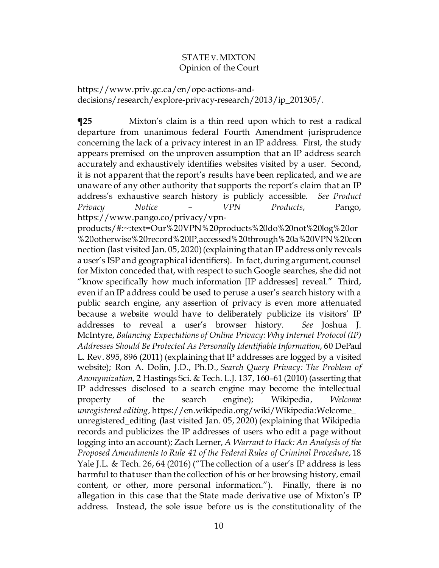https://www.priv.gc.ca/en/opc-actions-anddecisions/research/explore-privacy-research/2013/ip\_201305/.

**¶25** Mixton's claim is a thin reed upon which to rest a radical departure from unanimous federal Fourth Amendment jurisprudence concerning the lack of a privacy interest in an IP address. First, the study appears premised on the unproven assumption that an IP address search accurately and exhaustively identifies websites visited by a user. Second, it is not apparent that the report's results have been replicated, and we are unaware of any other authority that supports the report's claim that an IP address's exhaustive search history is publicly accessible. *See Product Privacy Notice – VPN Products*, Pango, https://www.pango.co/privacy/vpn-

products/#:~:text=Our%20VPN%20products%20do%20not%20log%20or %20otherwise%20record%20IP,accessed%20through%20a%20VPN%20con nection (last visited Jan. 05, 2020) (explaining that an IP address only reveals a user's ISP and geographical identifiers). In fact, during argument, counsel for Mixton conceded that, with respect to such Google searches, she did not "know specifically how much information [IP addresses] reveal." Third, even if an IP address could be used to peruse a user's search history with a public search engine, any assertion of privacy is even more attenuated because a website would have to deliberately publicize its visitors' IP addresses to reveal a user's browser history. *See* Joshua J. McIntyre, *Balancing Expectations of Online Privacy: Why Internet Protocol (IP) Addresses Should Be Protected As Personally Identifiable Information*, 60 DePaul L. Rev. 895, 896 (2011) (explaining that IP addresses are logged by a visited website); Ron A. Dolin, J.D., Ph.D., *Search Query Privacy: The Problem of Anonymization*, 2 Hastings Sci. & Tech. L.J. 137, 160–61 (2010) (asserting that IP addresses disclosed to a search engine may become the intellectual property of the search engine); Wikipedia, *Welcome unregistered editing*, https://en.wikipedia.org/wiki/Wikipedia:Welcome\_ unregistered\_editing (last visited Jan. 05, 2020) (explaining that Wikipedia records and publicizes the IP addresses of users who edit a page without logging into an account); Zach Lerner, *A Warrant to Hack: An Analysis of the Proposed Amendments to Rule 41 of the Federal Rules of Criminal Procedure*, 18 Yale J.L. & Tech. 26, 64 (2016) ("The collection of a user's IP address is less harmful to that user than the collection of his or her browsing history, email content, or other, more personal information."). Finally, there is no allegation in this case that the State made derivative use of Mixton's IP address. Instead, the sole issue before us is the constitutionality of the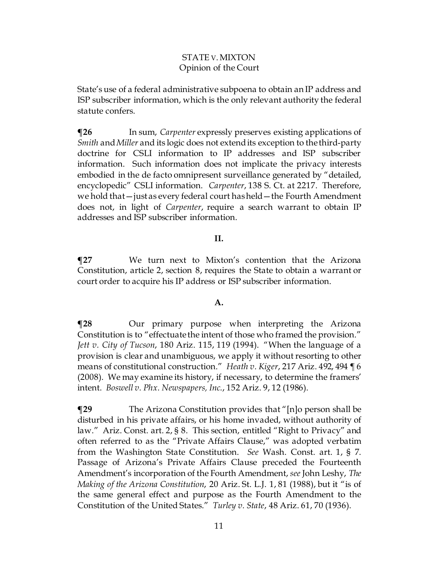State's use of a federal administrative subpoena to obtain an IP address and ISP subscriber information, which is the only relevant authority the federal statute confers.

**¶26** In sum, *Carpenter* expressly preserves existing applications of *Smith* and *Miller* and its logic does not extend its exception to the third-party doctrine for CSLI information to IP addresses and ISP subscriber information. Such information does not implicate the privacy interests embodied in the de facto omnipresent surveillance generated by "detailed, encyclopedic" CSLI information. *Carpenter*, 138 S. Ct. at 2217. Therefore, we hold that—just as every federal court has held—the Fourth Amendment does not, in light of *Carpenter*, require a search warrant to obtain IP addresses and ISP subscriber information.

## **II.**

**¶27** We turn next to Mixton's contention that the Arizona Constitution, article 2, section 8, requires the State to obtain a warrant or court order to acquire his IP address or ISP subscriber information.

## **A.**

**¶28** Our primary purpose when interpreting the Arizona Constitution is to "effectuate the intent of those who framed the provision." *Jett v. City of Tucson*, 180 Ariz. 115, 119 (1994). "When the language of a provision is clear and unambiguous, we apply it without resorting to other means of constitutional construction." *Heath v. Kiger*, 217 Ariz. 492, 494 ¶ 6 (2008). We may examine its history, if necessary, to determine the framers' intent. *Boswell v. Phx. Newspapers, Inc.*, 152 Ariz. 9, 12 (1986).

**¶29** The Arizona Constitution provides that "[n]o person shall be disturbed in his private affairs, or his home invaded, without authority of law." Ariz. Const. art. 2, § 8. This section, entitled "Right to Privacy" and often referred to as the "Private Affairs Clause," was adopted verbatim from the Washington State Constitution. *See* Wash. Const. art. 1, § 7. Passage of Arizona's Private Affairs Clause preceded the Fourteenth Amendment's incorporation of the Fourth Amendment, *see* John Leshy, *The Making of the Arizona Constitution*, 20 Ariz. St. L.J. 1, 81 (1988), but it "is of the same general effect and purpose as the Fourth Amendment to the Constitution of the United States." *Turley v. State*, 48 Ariz. 61, 70 (1936).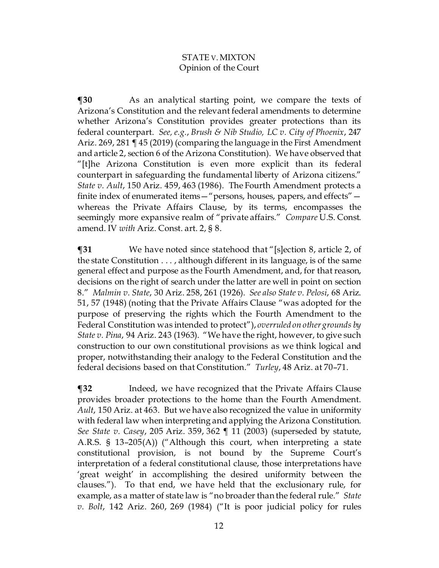**¶30** As an analytical starting point, we compare the texts of Arizona's Constitution and the relevant federal amendments to determine whether Arizona's Constitution provides greater protections than its federal counterpart. *See, e.g.*, *Brush & Nib Studio, LC v. City of Phoenix*, 247 Ariz. 269, 281 ¶ 45 (2019) (comparing the language in the First Amendment and article 2, section 6 of the Arizona Constitution). We have observed that "[t]he Arizona Constitution is even more explicit than its federal counterpart in safeguarding the fundamental liberty of Arizona citizens." *State v. Ault*, 150 Ariz. 459, 463 (1986). The Fourth Amendment protects a finite index of enumerated items—"persons, houses, papers, and effects" whereas the Private Affairs Clause, by its terms, encompasses the seemingly more expansive realm of "private affairs." *Compare* U.S. Const. amend. IV *with* Ariz. Const. art. 2, § 8.

**¶31** We have noted since statehood that "[s]ection 8, article 2, of the state Constitution . . . , although different in its language, is of the same general effect and purpose as the Fourth Amendment, and, for that reason, decisions on the right of search under the latter are well in point on section 8." *Malmin v. State*, 30 Ariz. 258, 261 (1926). *See also State v. Pelosi*, 68 Ariz. 51, 57 (1948) (noting that the Private Affairs Clause "was adopted for the purpose of preserving the rights which the Fourth Amendment to the Federal Constitution was intended to protect"), *overruled on other grounds by State v. Pina*, 94 Ariz. 243 (1963). "We have the right, however, to give such construction to our own constitutional provisions as we think logical and proper, notwithstanding their analogy to the Federal Constitution and the federal decisions based on that Constitution." *Turley*, 48 Ariz. at 70–71.

**¶32** Indeed, we have recognized that the Private Affairs Clause provides broader protections to the home than the Fourth Amendment. *Ault*, 150 Ariz. at 463. But we have also recognized the value in uniformity with federal law when interpreting and applying the Arizona Constitution. *See State v. Casey*, 205 Ariz. 359, 362 ¶ 11 (2003) (superseded by statute, A.R.S. § 13–205(A)) ("Although this court, when interpreting a state constitutional provision, is not bound by the Supreme Court's interpretation of a federal constitutional clause, those interpretations have 'great weight' in accomplishing the desired uniformity between the clauses."). To that end, we have held that the exclusionary rule, for example, as a matter of state law is "no broader than the federal rule." *State v. Bolt*, 142 Ariz. 260, 269 (1984) ("It is poor judicial policy for rules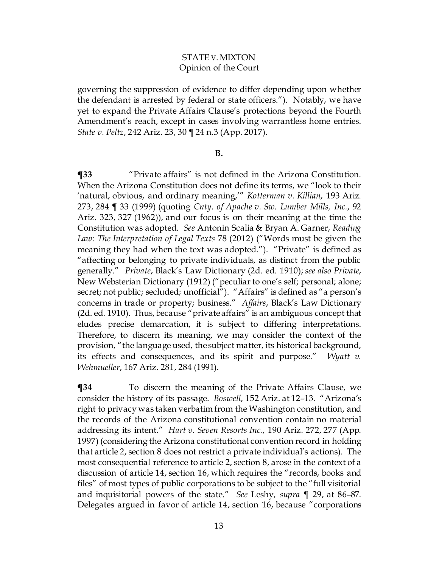governing the suppression of evidence to differ depending upon whether the defendant is arrested by federal or state officers."). Notably, we have yet to expand the Private Affairs Clause's protections beyond the Fourth Amendment's reach, except in cases involving warrantless home entries. *State v. Peltz*, 242 Ariz. 23, 30 ¶ 24 n.3 (App. 2017).

#### **B.**

**¶33** "Private affairs" is not defined in the Arizona Constitution. When the Arizona Constitution does not define its terms, we "look to their 'natural, obvious, and ordinary meaning,'" *Kotterman v. Killian*, 193 Ariz. 273, 284 ¶ 33 (1999) (quoting *Cnty. of Apache v. Sw. Lumber Mills, Inc.*, 92 Ariz. 323, 327 (1962)), and our focus is on their meaning at the time the Constitution was adopted. *See* Antonin Scalia & Bryan A. Garner, *Reading Law: The Interpretation of Legal Texts* 78 (2012) ("Words must be given the meaning they had when the text was adopted."). "Private" is defined as "affecting or belonging to private individuals, as distinct from the public generally." *Private*, Black's Law Dictionary (2d. ed. 1910); *see also Private*, New Websterian Dictionary (1912) ("peculiar to one's self; personal; alone; secret; not public; secluded; unofficial"). "Affairs" is defined as "a person's concerns in trade or property; business." *Affairs*, Black's Law Dictionary (2d. ed. 1910). Thus, because "private affairs" is an ambiguous concept that eludes precise demarcation, it is subject to differing interpretations. Therefore, to discern its meaning, we may consider the context of the provision, "the language used, the subject matter, its historical background, its effects and consequences, and its spirit and purpose." *[Wyatt](https://1.next.westlaw.com/Link/Document/FullText?findType=Y&serNum=1991046265&pubNum=0000661&originatingDoc=I0a759547f5ae11e4b4bafa136b480ad2&refType=RP&fi=co_pp_sp_661_873&originationContext=document&transitionType=DocumentItem&contextData=(sc.DocLink)#co_pp_sp_661_873) v. [Wehmueller](https://1.next.westlaw.com/Link/Document/FullText?findType=Y&serNum=1991046265&pubNum=0000661&originatingDoc=I0a759547f5ae11e4b4bafa136b480ad2&refType=RP&fi=co_pp_sp_661_873&originationContext=document&transitionType=DocumentItem&contextData=(sc.DocLink)#co_pp_sp_661_873)*, 167 Ariz. 281, 284 (1991).

**¶34** To discern the meaning of the Private Affairs Clause, we consider the history of its passage. *Boswell*, 152 Ariz. at 12–13. "Arizona's right to privacy was taken verbatim from the Washington constitution, and the records of the Arizona constitutional convention contain no material addressing its intent." *Hart v. Seven Resorts Inc.*, 190 Ariz. 272, 277 (App. 1997) (considering the Arizona constitutional convention record in holding that article 2, section 8 does not restrict a private individual's actions). The most consequential reference to article 2, section 8, arose in the context of a discussion of article 14, section 16, which requires the "records, books and files" of most types of public corporations to be subject to the "full visitorial and inquisitorial powers of the state." *See* Leshy, *supra* ¶ 29, at 86–87. Delegates argued in favor of article 14, section 16, because "corporations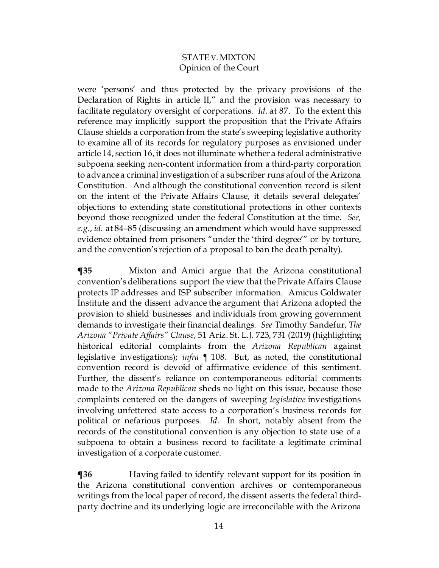were 'persons' and thus protected by the privacy provisions of the Declaration of Rights in article II," and the provision was necessary to facilitate regulatory oversight of corporations. *Id.* at 87. To the extent this reference may implicitly support the proposition that the Private Affairs Clause shields a corporation from the state's sweeping legislative authority to examine all of its records for regulatory purposes as envisioned under article 14, section 16, it does not illuminate whether a federal administrative subpoena seeking non-content information from a third-party corporation to advance a criminal investigation of a subscriber runs afoul of the Arizona Constitution. And although the constitutional convention record is silent on the intent of the Private Affairs Clause, it details several delegates' objections to extending state constitutional protections in other contexts beyond those recognized under the federal Constitution at the time. *See, e.g.*, *id.* at 84–85 (discussing an amendment which would have suppressed evidence obtained from prisoners "under the 'third degree'" or by torture, and the convention's rejection of a proposal to ban the death penalty).

**¶35** Mixton and Amici argue that the Arizona constitutional convention's deliberations support the view that the Private Affairs Clause protects IP addresses and ISP subscriber information. Amicus Goldwater Institute and the dissent advance the argument that Arizona adopted the provision to shield businesses and individuals from growing government demands to investigate their financial dealings. *See* Timothy Sandefur, *The Arizona "Private Affairs" Clause*, 51 Ariz. St. L.J. 723, 731 (2019) (highlighting historical editorial complaints from the *Arizona Republican* against legislative investigations); *infra ¶* 108. But, as noted, the constitutional convention record is devoid of affirmative evidence of this sentiment. Further, the dissent's reliance on contemporaneous editorial comments made to the *Arizona Republican* sheds no light on this issue, because those complaints centered on the dangers of sweeping *legislative* investigations involving unfettered state access to a corporation's business records for political or nefarious purposes. *Id.* In short, notably absent from the records of the constitutional convention is any objection to state use of a subpoena to obtain a business record to facilitate a legitimate criminal investigation of a corporate customer.

**¶36** Having failed to identify relevant support for its position in the Arizona constitutional convention archives or contemporaneous writings from the local paper of record, the dissent asserts the federal thirdparty doctrine and its underlying logic are irreconcilable with the Arizona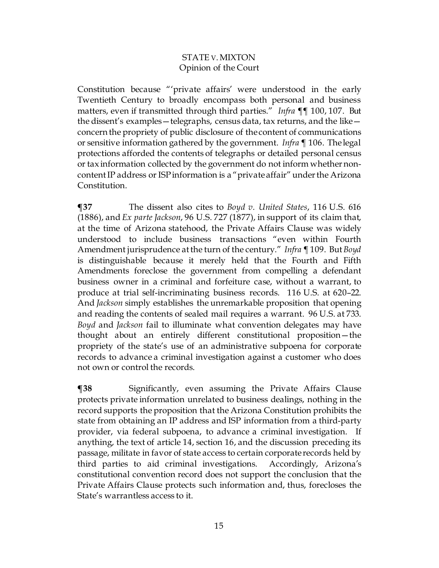Constitution because "'private affairs' were understood in the early Twentieth Century to broadly encompass both personal and business matters, even if transmitted through third parties." *Infra* ¶¶ 100, 107. But the dissent's examples—telegraphs, census data, tax returns, and the like concern the propriety of public disclosure of the content of communications or sensitive information gathered by the government. *Infra* ¶ 106. The legal protections afforded the contents of telegraphs or detailed personal census or tax information collected by the government do not inform whether noncontent IP address or ISP information is a "private affair" under the Arizona Constitution.

**¶37** The dissent also cites to *Boyd v. United States*, 116 U.S. 616 (1886), and *Ex parte Jackson*, 96 U.S. 727 (1877), in support of its claim that, at the time of Arizona statehood, the Private Affairs Clause was widely understood to include business transactions "even within Fourth Amendment jurisprudence at the turn of the century." *Infra* ¶ 109. But *Boyd*  is distinguishable because it merely held that the Fourth and Fifth Amendments foreclose the government from compelling a defendant business owner in a criminal and forfeiture case, without a warrant, to produce at trial self-incriminating business records. 116 U.S. at 620–22. And *Jackson* simply establishes the unremarkable proposition that opening and reading the contents of sealed mail requires a warrant. 96 U.S. at 733. *Boyd* and *Jackson* fail to illuminate what convention delegates may have thought about an entirely different constitutional proposition—the propriety of the state's use of an administrative subpoena for corporate records to advance a criminal investigation against a customer who does not own or control the records.

**¶38** Significantly, even assuming the Private Affairs Clause protects private information unrelated to business dealings, nothing in the record supports the proposition that the Arizona Constitution prohibits the state from obtaining an IP address and ISP information from a third-party provider, via federal subpoena, to advance a criminal investigation. If anything, the text of article 14, section 16, and the discussion preceding its passage, militate in favor of state access to certain corporate records held by third parties to aid criminal investigations. Accordingly, Arizona's constitutional convention record does not support the conclusion that the Private Affairs Clause protects such information and, thus, forecloses the State's warrantless access to it.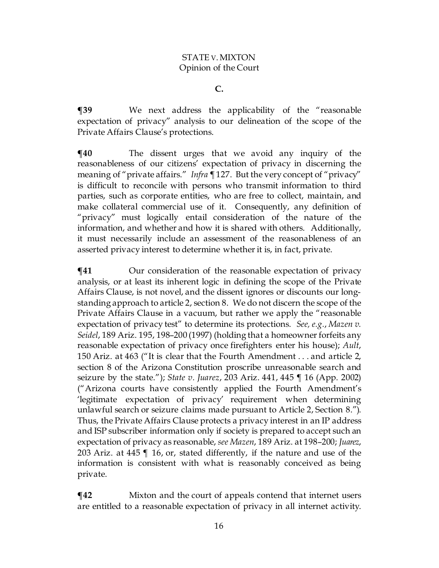**C.**

**¶39** We next address the applicability of the "reasonable expectation of privacy" analysis to our delineation of the scope of the Private Affairs Clause's protections.

 $\P$ **40** The dissent urges that we avoid any inquiry of the reasonableness of our citizens' expectation of privacy in discerning the meaning of "private affairs." *Infra ¶* 127. But the very concept of "privacy" is difficult to reconcile with persons who transmit information to third parties, such as corporate entities, who are free to collect, maintain, and make collateral commercial use of it. Consequently, any definition of "privacy" must logically entail consideration of the nature of the information, and whether and how it is shared with others. Additionally, it must necessarily include an assessment of the reasonableness of an asserted privacy interest to determine whether it is, in fact, private.

 $\P$ **41** Our consideration of the reasonable expectation of privacy analysis, or at least its inherent logic in defining the scope of the Private Affairs Clause, is not novel, and the dissent ignores or discounts our longstanding approach to article 2, section 8. We do not discern the scope of the Private Affairs Clause in a vacuum, but rather we apply the "reasonable expectation of privacy test" to determine its protections. *See, e.g.*, *Mazen v. Seidel*, 189 Ariz. 195, 198–200 (1997) (holding that a homeowner forfeits any reasonable expectation of privacy once firefighters enter his house); *Ault*, 150 Ariz. at 463 ("It is clear that the Fourth Amendment . . . and article 2, section 8 of the Arizona Constitution proscribe unreasonable search and seizure by the state."); *State v. Juarez*, 203 Ariz. 441, 445 ¶ 16 (App. 2002) ("Arizona courts have consistently applied the Fourth Amendment's 'legitimate expectation of privacy' requirement when determining unlawful search or seizure claims made pursuant to Article 2, Section 8."). Thus, the Private Affairs Clause protects a privacy interest in an IP address and ISP subscriber information only if society is prepared to accept such an expectation of privacy as reasonable, *see Mazen*, 189 Ariz. at 198–200; *Juarez*, 203 Ariz. at 445 ¶ 16, or, stated differently, if the nature and use of the information is consistent with what is reasonably conceived as being private.

**¶42** Mixton and the court of appeals contend that internet users are entitled to a reasonable expectation of privacy in all internet activity.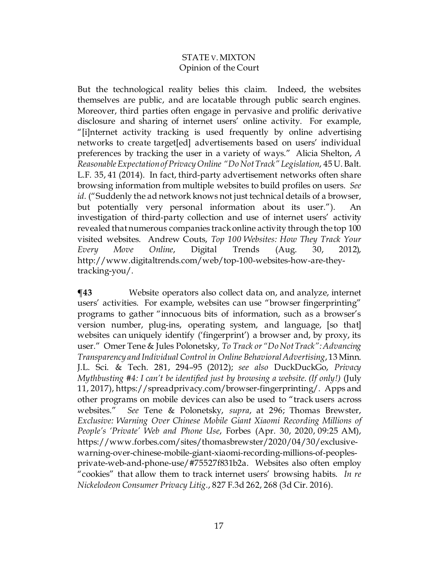But the technological reality belies this claim. Indeed, the websites themselves are public, and are locatable through public search engines. Moreover, third parties often engage in pervasive and prolific derivative disclosure and sharing of internet users' online activity. For example, "[i]nternet activity tracking is used frequently by online advertising networks to create target[ed] advertisements based on users' individual preferences by tracking the user in a variety of ways." Alicia Shelton, *A Reasonable Expectation of Privacy Online "Do Not Track" Legislation*, 45 U. Balt. L.F. 35, 41 (2014). In fact, third-party advertisement networks often share browsing information from multiple websites to build profiles on users. *See id.* ("Suddenly the ad network knows not just technical details of a browser, but potentially very personal information about its user."). An investigation of third-party collection and use of internet users' activity revealed that numerous companies track online activity through the top 100 visited websites. Andrew Couts, *Top 100 Websites: How They Track Your Every Move Online*, Digital Trends (Aug. 30, 2012), http://www.digitaltrends.com/web/top-100-websites-how-are-theytracking-you/.

**¶43** Website operators also collect data on, and analyze, internet users' activities. For example, websites can use "browser fingerprinting" programs to gather "innocuous bits of information, such as a browser's version number, plug-ins, operating system, and language, [so that] websites can uniquely identify ('fingerprint') a browser and, by proxy, its user." Omer Tene & Jules Polonetsky, *To Track or "Do Not Track": Advancing Transparency and Individual Control in Online Behavioral Advertising*, 13 Minn. J.L. Sci. & Tech. 281, 294–95 (2012); *see also* DuckDuckGo, *Privacy Mythbusting #4: I can't be identified just by browsing a website. (If only!)* (July 11, 2017), https://spreadprivacy.com/browser-fingerprinting/. Apps and other programs on mobile devices can also be used to "track users across websites." *See* Tene & Polonetsky, *supra*, at 296; Thomas Brewster, *Exclusive: Warning Over Chinese Mobile Giant Xiaomi Recording Millions of People's 'Private' Web and Phone Use*, Forbes (Apr. 30, 2020, 09:25 AM), https://www.forbes.com/sites/thomasbrewster/2020/04/30/exclusivewarning-over-chinese-mobile-giant-xiaomi-recording-millions-of-peoplesprivate-web-and-phone-use/#75527f831b2a. Websites also often employ "cookies" that allow them to track internet users' browsing habits. *In re Nickelodeon Consumer Privacy Litig.*, 827 F.3d 262, 268 (3d Cir. 2016).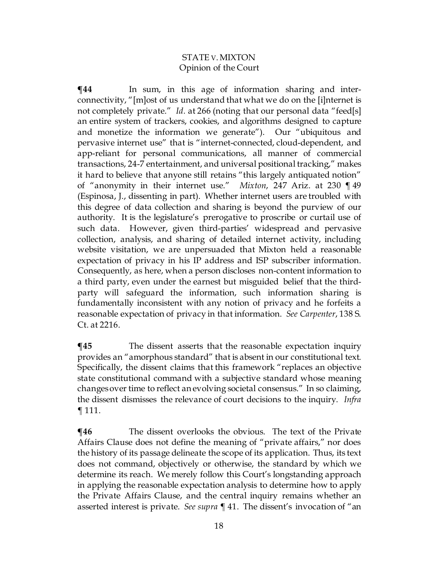**¶44** In sum, in this age of information sharing and interconnectivity, "[m]ost of us understand that what we do on the [i]nternet is not completely private." *Id.* at 266 (noting that our personal data "feed[s] an entire system of trackers, cookies, and algorithms designed to capture and monetize the information we generate"). Our "ubiquitous and pervasive internet use" that is "internet-connected, cloud-dependent, and app-reliant for personal communications, all manner of commercial transactions, 24-7 entertainment, and universal positional tracking," makes it hard to believe that anyone still retains "this largely antiquated notion" of "anonymity in their internet use." *Mixton*, 247 Ariz. at 230 ¶ 49 (Espinosa, J., dissenting in part). Whether internet users are troubled with this degree of data collection and sharing is beyond the purview of our authority. It is the legislature's prerogative to proscribe or curtail use of such data. However, given third-parties' widespread and pervasive collection, analysis, and sharing of detailed internet activity, including website visitation, we are unpersuaded that Mixton held a reasonable expectation of privacy in his IP address and ISP subscriber information. Consequently, as here, when a person discloses non-content information to a third party, even under the earnest but misguided belief that the thirdparty will safeguard the information, such information sharing is fundamentally inconsistent with any notion of privacy and he forfeits a reasonable expectation of privacy in that information. *See Carpenter*, 138 S. Ct. at 2216.

**¶45** The dissent asserts that the reasonable expectation inquiry provides an "amorphous standard" that is absent in our constitutional text. Specifically, the dissent claims that this framework "replaces an objective state constitutional command with a subjective standard whose meaning changes over time to reflect an evolving societal consensus." In so claiming, the dissent dismisses the relevance of court decisions to the inquiry. *Infra*  ¶ 111.

**¶46** The dissent overlooks the obvious. The text of the Private Affairs Clause does not define the meaning of "private affairs," nor does the history of its passage delineate the scope of its application. Thus, its text does not command, objectively or otherwise, the standard by which we determine its reach. We merely follow this Court's longstanding approach in applying the reasonable expectation analysis to determine how to apply the Private Affairs Clause, and the central inquiry remains whether an asserted interest is private. *See supra* ¶ 41. The dissent's invocation of "an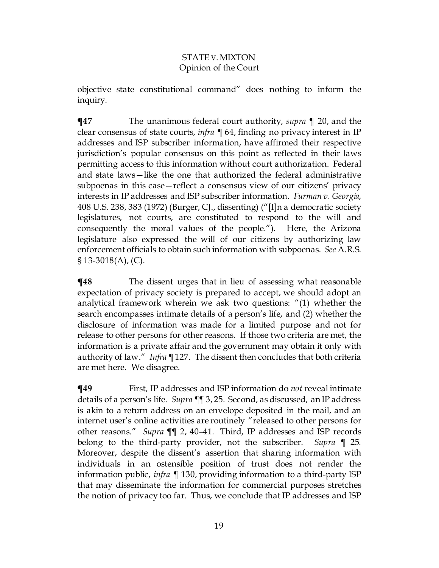objective state constitutional command" does nothing to inform the inquiry.

**¶47** The unanimous federal court authority, *supra* ¶ 20, and the clear consensus of state courts, *infra* ¶ 64, finding no privacy interest in IP addresses and ISP subscriber information, have affirmed their respective jurisdiction's popular consensus on this point as reflected in their laws permitting access to this information without court authorization. Federal and state laws—like the one that authorized the federal administrative subpoenas in this case—reflect a consensus view of our citizens' privacy interests in IP addresses and ISP subscriber information. *Furman v. Georgia*, 408 U.S. 238, 383 (1972) (Burger, CJ., dissenting) ("[I]n a democratic society legislatures, not courts, are constituted to respond to the will and consequently the moral values of the people."). Here, the Arizona legislature also expressed the will of our citizens by authorizing law enforcement officials to obtain such information with subpoenas. *See* A.R.S. § 13-3018(A), (C).

**¶48** The dissent urges that in lieu of assessing what reasonable expectation of privacy society is prepared to accept, we should adopt an analytical framework wherein we ask two questions: "(1) whether the search encompasses intimate details of a person's life, and (2) whether the disclosure of information was made for a limited purpose and not for release to other persons for other reasons. If those two criteria are met, the information is a private affair and the government may obtain it only with authority of law." *Infra ¶* 127. The dissent then concludes that both criteria are met here. We disagree.

**¶49** First, IP addresses and ISP information do *not* reveal intimate details of a person's life. *Supra ¶*¶ 3, 25*.* Second, as discussed, an IP address is akin to a return address on an envelope deposited in the mail, and an internet user's online activities are routinely "released to other persons for other reasons." *Supra ¶*¶ 2, 40–41*.* Third, IP addresses and ISP records belong to the third-party provider, not the subscriber. *Supra ¶* 25*.*  Moreover, despite the dissent's assertion that sharing information with individuals in an ostensible position of trust does not render the information public, *infra* ¶ 130, providing information to a third-party ISP that may disseminate the information for commercial purposes stretches the notion of privacy too far. Thus, we conclude that IP addresses and ISP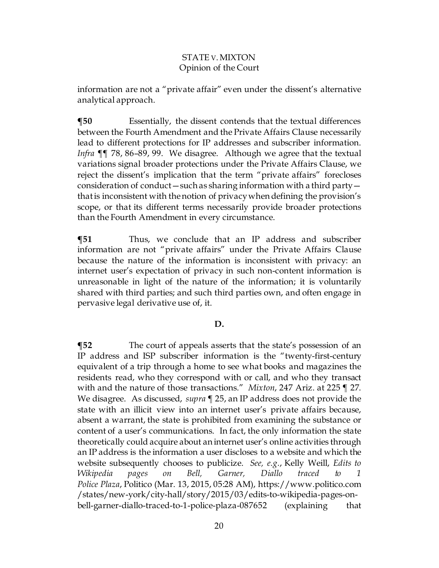information are not a "private affair" even under the dissent's alternative analytical approach.

**¶50** Essentially, the dissent contends that the textual differences between the Fourth Amendment and the Private Affairs Clause necessarily lead to different protections for IP addresses and subscriber information. *Infra* ¶¶ 78, 86–89, 99. We disagree. Although we agree that the textual variations signal broader protections under the Private Affairs Clause, we reject the dissent's implication that the term "private affairs" forecloses consideration of conduct—such as sharing information with a third party that is inconsistent with the notion of privacywhen defining the provision's scope, or that its different terms necessarily provide broader protections than the Fourth Amendment in every circumstance.

**¶51** Thus, we conclude that an IP address and subscriber information are not "private affairs" under the Private Affairs Clause because the nature of the information is inconsistent with privacy: an internet user's expectation of privacy in such non-content information is unreasonable in light of the nature of the information; it is voluntarily shared with third parties; and such third parties own, and often engage in pervasive legal derivative use of, it.

## **D.**

**The court of appeals asserts that the state's possession of an** IP address and ISP subscriber information is the "twenty-first-century equivalent of a trip through a home to see what books and magazines the residents read, who they correspond with or call, and who they transact with and the nature of those transactions." *Mixton*, 247 Ariz. at 225 ¶ 27. We disagree. As discussed, *supra* ¶ 25, an IP address does not provide the state with an illicit view into an internet user's private affairs because, absent a warrant, the state is prohibited from examining the substance or content of a user's communications. In fact, the only information the state theoretically could acquire about an internet user's online activities through an IP address is the information a user discloses to a website and which the website subsequently chooses to publicize. *See, e.g.*, Kelly Weill, *Edits to Wikipedia pages on Bell, Garner, Diallo traced to 1 Police Plaza*, Politico (Mar. 13, 2015, 05:28 AM), https://www.politico.com /states/new-york/city-hall/story/2015/03/edits-to-wikipedia-pages-onbell-garner-diallo-traced-to-1-police-plaza-087652 (explaining that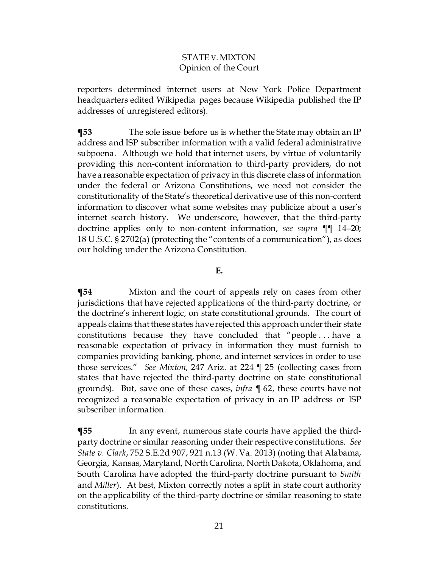reporters determined internet users at New York Police Department headquarters edited Wikipedia pages because Wikipedia published the IP addresses of unregistered editors).

**¶53** The sole issue before us is whether the State may obtain an IP address and ISP subscriber information with a valid federal administrative subpoena. Although we hold that internet users, by virtue of voluntarily providing this non-content information to third-party providers, do not have a reasonable expectation of privacy in this discrete class of information under the federal or Arizona Constitutions, we need not consider the constitutionality of the State's theoretical derivative use of this non-content information to discover what some websites may publicize about a user's internet search history. We underscore, however, that the third-party doctrine applies only to non-content information, *see supra* ¶¶ 14–20; 18 U.S.C. § 2702(a) (protecting the "contents of a communication"), as does our holding under the Arizona Constitution.

#### **E.**

**¶54** Mixton and the court of appeals rely on cases from other jurisdictions that have rejected applications of the third-party doctrine, or the doctrine's inherent logic, on state constitutional grounds. The court of appeals claims that these states have rejected this approachunder their state constitutions because they have concluded that "people . . . have a reasonable expectation of privacy in information they must furnish to companies providing banking, phone, and internet services in order to use those services." *See Mixton*, 247 Ariz. at 224 ¶ 25 (collecting cases from states that have rejected the third-party doctrine on state constitutional grounds). But, save one of these cases, *infra ¶* 62, these courts have not recognized a reasonable expectation of privacy in an IP address or ISP subscriber information.

**¶55** In any event, numerous state courts have applied the thirdparty doctrine or similar reasoning under their respective constitutions. *See State v. Clark*, 752 S.E.2d 907, 921 n.13 (W. Va. 2013) (noting that Alabama, Georgia, Kansas, Maryland, North Carolina, North Dakota, Oklahoma, and South Carolina have adopted the third-party doctrine pursuant to *Smith* and *Miller*). At best, Mixton correctly notes a split in state court authority on the applicability of the third-party doctrine or similar reasoning to state constitutions.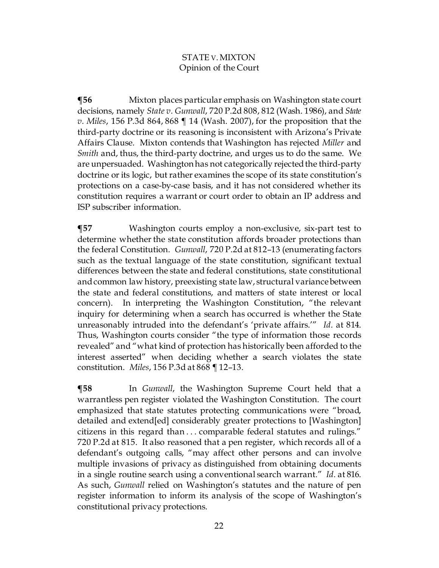**¶56** Mixton places particular emphasis on Washington state court decisions, namely *State v. Gunwall*, 720 P.2d 808, 812 (Wash. 1986), and *State v. Miles*, 156 P.3d 864, 868 ¶ 14 (Wash. 2007), for the proposition that the third-party doctrine or its reasoning is inconsistent with Arizona's Private Affairs Clause. Mixton contends that Washington has rejected *Miller* and *Smith* and, thus, the third-party doctrine, and urges us to do the same. We are unpersuaded. Washington has not categorically rejected the third-party doctrine or its logic, but rather examines the scope of its state constitution's protections on a case-by-case basis, and it has not considered whether its constitution requires a warrant or court order to obtain an IP address and ISP subscriber information.

**¶57** Washington courts employ a non-exclusive, six-part test to determine whether the state constitution affords broader protections than the federal Constitution. *Gunwall*, 720 P.2d at 812–13 (enumerating factors such as the textual language of the state constitution, significant textual differences between the state and federal constitutions, state constitutional and common law history, preexisting state law, structural variance between the state and federal constitutions, and matters of state interest or local concern). In interpreting the Washington Constitution, "the relevant inquiry for determining when a search has occurred is whether the State unreasonably intruded into the defendant's 'private affairs.'" *Id.* at 814. Thus, Washington courts consider "the type of information those records revealed" and "what kind of protection has historically been afforded to the interest asserted" when deciding whether a search violates the state constitution. *Miles*, 156 P.3d at 868 ¶ 12–13.

**¶58** In *Gunwall*, the Washington Supreme Court held that a warrantless pen register violated the Washington Constitution. The court emphasized that state statutes protecting communications were "broad, detailed and extend[ed] considerably greater protections to [Washington] citizens in this regard than . . . comparable federal statutes and rulings." 720 P.2d at 815. It also reasoned that a pen register, which records all of a defendant's outgoing calls, "may affect other persons and can involve multiple invasions of privacy as distinguished from obtaining documents in a single routine search using a conventional search warrant." *Id.* at 816. As such, *Gunwall* relied on Washington's statutes and the nature of pen register information to inform its analysis of the scope of Washington's constitutional privacy protections.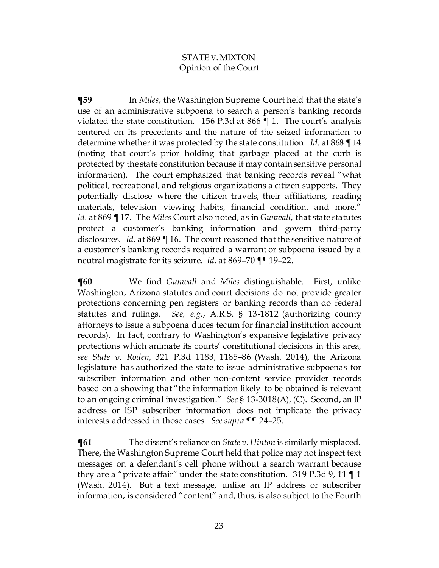**¶59** In *Miles*, the Washington Supreme Court held that the state's use of an administrative subpoena to search a person's banking records violated the state constitution. 156 P.3d at 866 ¶ 1. The court's analysis centered on its precedents and the nature of the seized information to determine whether it was protected by the state constitution. *Id.* at 868 ¶ 14 (noting that court's prior holding that garbage placed at the curb is protected by the state constitution because it may contain sensitive personal information). The court emphasized that banking records reveal "what political, recreational, and religious organizations a citizen supports. They potentially disclose where the citizen travels, their affiliations, reading materials, television viewing habits, financial condition, and more." *Id.* at 869 ¶ 17. The *Miles* Court also noted, as in *Gunwall*, that state statutes protect a customer's banking information and govern third-party disclosures. *Id.* at 869 ¶ 16. The court reasoned that the sensitive nature of a customer's banking records required a warrant or subpoena issued by a neutral magistrate for its seizure. *Id.* at 869–70 ¶¶ 19–22.

**¶60** We find *Gunwall* and *Miles* distinguishable. First, unlike Washington, Arizona statutes and court decisions do not provide greater protections concerning pen registers or banking records than do federal statutes and rulings. *See, e.g.*, A.R.S. § 13-1812 (authorizing county attorneys to issue a subpoena duces tecum for financial institution account records). In fact, contrary to Washington's expansive legislative privacy protections which animate its courts' constitutional decisions in this area, *see State v. Roden*, 321 P.3d 1183, 1185–86 (Wash. 2014), the Arizona legislature has authorized the state to issue administrative subpoenas for subscriber information and other non-content service provider records based on a showing that "the information likely to be obtained is relevant to an ongoing criminal investigation." *See* § 13-3018(A), (C). Second, an IP address or ISP subscriber information does not implicate the privacy interests addressed in those cases. *See supra* ¶¶ 24–25*.*

 $\P61$  The dissent's reliance on *State v. Hinton* is similarly misplaced. There, the Washington Supreme Court held that police may not inspect text messages on a defendant's cell phone without a search warrant because they are a "private affair" under the state constitution. 319 P.3d 9, 11  $\P$  1 (Wash. 2014). But a text message, unlike an IP address or subscriber information, is considered "content" and, thus, is also subject to the Fourth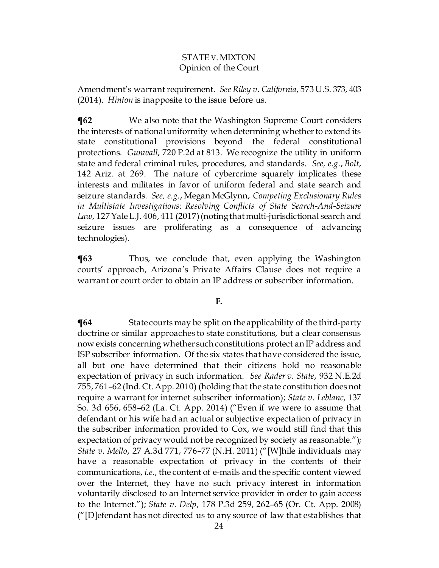Amendment's warrant requirement. *See Riley v. California*, 573 U.S. 373, 403 (2014). *Hinton* is inapposite to the issue before us.

**¶62** We also note that the Washington Supreme Court considers the interests of national uniformity when determining whether to extend its state constitutional provisions beyond the federal constitutional protections. *Gunwall*, 720 P.2d at 813. We recognize the utility in uniform state and federal criminal rules, procedures, and standards. *See, e.g.*, *Bolt*, 142 Ariz. at 269. The nature of cybercrime squarely implicates these interests and militates in favor of uniform federal and state search and seizure standards. *See, e.g.*, Megan McGlynn, *Competing Exclusionary Rules in Multistate Investigations: Resolving Conflicts of State Search-And-Seizure Law*, 127 Yale L.J. 406, 411 (2017) (noting that multi-jurisdictional search and seizure issues are proliferating as a consequence of advancing technologies).

**¶63** Thus, we conclude that, even applying the Washington courts' approach, Arizona's Private Affairs Clause does not require a warrant or court order to obtain an IP address or subscriber information.

## **F.**

**¶64** State courts may be split on the applicability of the third-party doctrine or similar approaches to state constitutions, but a clear consensus now exists concerning whether such constitutions protect an IP address and ISP subscriber information. Of the six states that have considered the issue, all but one have determined that their citizens hold no reasonable expectation of privacy in such information. *See Rader v. State*, 932 N.E.2d 755, 761–62 (Ind. Ct. App. 2010) (holding that the state constitution does not require a warrant for internet subscriber information); *State v. Leblanc*, 137 So. 3d 656, 658–62 (La. Ct. App. 2014) ("Even if we were to assume that defendant or his wife had an actual or subjective expectation of privacy in the subscriber information provided to Cox, we would still find that this expectation of privacy would not be recognized by society as reasonable."); *State v. Mello*, 27 A.3d 771, 776–77 (N.H. 2011) ("[W]hile individuals may have a reasonable expectation of privacy in the contents of their communications, *i.e.*, the content of e-mails and the specific content viewed over the Internet, they have no such privacy interest in information voluntarily disclosed to an Internet service provider in order to gain access to the Internet."); *State v. Delp*, 178 P.3d 259, 262–65 (Or. Ct. App. 2008) ("[D]efendant has not directed us to any source of law that establishes that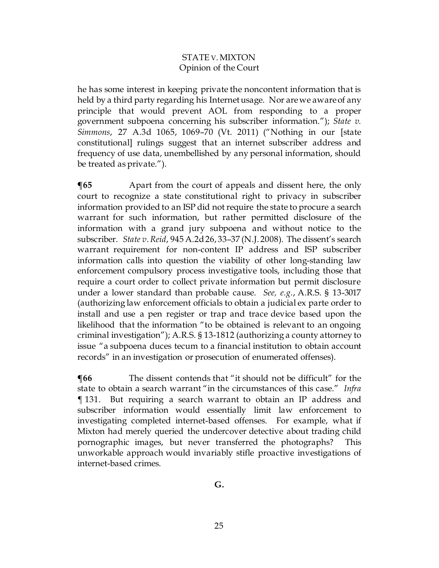he has some interest in keeping private the noncontent information that is held by a third party regarding his Internet usage. Nor are we aware of any principle that would prevent AOL from responding to a proper government subpoena concerning his subscriber information."); *State v. Simmons*, 27 A.3d 1065, 1069–70 (Vt. 2011) ("Nothing in our [state constitutional] rulings suggest that an internet subscriber address and frequency of use data, unembellished by any personal information, should be treated as private.").

**The 45 Apart from the court of appeals and dissent here, the only** court to recognize a state constitutional right to privacy in subscriber information provided to an ISP did not require the state to procure a search warrant for such information, but rather permitted disclosure of the information with a grand jury subpoena and without notice to the subscriber. *State v. Reid*, 945 A.2d 26, 33–37 (N.J. 2008). The dissent's search warrant requirement for non-content IP address and ISP subscriber information calls into question the viability of other long-standing law enforcement compulsory process investigative tools, including those that require a court order to collect private information but permit disclosure under a lower standard than probable cause. *See, e.g.*, A.R.S. § 13-3017 (authorizing law enforcement officials to obtain a judicial ex parte order to install and use a pen register or trap and trace device based upon the likelihood that the information "to be obtained is relevant to an ongoing criminal investigation"); A.R.S. § 13-1812 (authorizing a county attorney to issue "a subpoena duces tecum to a financial institution to obtain account records" in an investigation or prosecution of enumerated offenses).

**[66** The dissent contends that "it should not be difficult" for the state to obtain a search warrant "in the circumstances of this case." *Infra*  ¶ 131. But requiring a search warrant to obtain an IP address and subscriber information would essentially limit law enforcement to investigating completed internet-based offenses. For example, what if Mixton had merely queried the undercover detective about trading child pornographic images, but never transferred the photographs? This unworkable approach would invariably stifle proactive investigations of internet-based crimes.

**G.**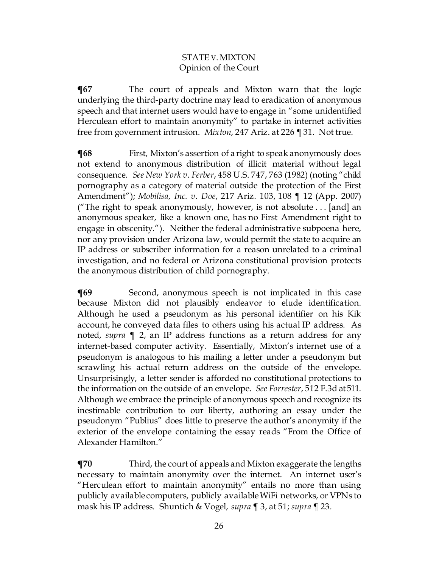**¶67** The court of appeals and Mixton warn that the logic underlying the third-party doctrine may lead to eradication of anonymous speech and that internet users would have to engage in "some unidentified Herculean effort to maintain anonymity" to partake in internet activities free from government intrusion. *Mixton*, 247 Ariz. at 226 ¶ 31. Not true.

**¶68** First, Mixton's assertion of a right to speak anonymously does not extend to anonymous distribution of illicit material without legal consequence. *See New York v. Ferber*, 458 U.S. 747, 763 (1982) (noting "child pornography as a category of material outside the protection of the First Amendment"); *Mobilisa, Inc. v. Doe*, 217 Ariz. 103, 108 ¶ 12 (App. 2007) ("The right to speak anonymously, however, is not absolute . . . [and] an anonymous speaker, like a known one, has no First Amendment right to engage in obscenity."). Neither the federal administrative subpoena here, nor any provision under Arizona law, would permit the state to acquire an IP address or subscriber information for a reason unrelated to a criminal investigation, and no federal or Arizona constitutional provision protects the anonymous distribution of child pornography.

**[69** Second, anonymous speech is not implicated in this case because Mixton did not plausibly endeavor to elude identification. Although he used a pseudonym as his personal identifier on his Kik account, he conveyed data files to others using his actual IP address. As noted, *supra* ¶ 2, an IP address functions as a return address for any internet-based computer activity. Essentially, Mixton's internet use of a pseudonym is analogous to his mailing a letter under a pseudonym but scrawling his actual return address on the outside of the envelope. Unsurprisingly, a letter sender is afforded no constitutional protections to the information on the outside of an envelope. *See Forrester*, 512 F.3d at 511. Although we embrace the principle of anonymous speech and recognize its inestimable contribution to our liberty, authoring an essay under the pseudonym "Publius" does little to preserve the author's anonymity if the exterior of the envelope containing the essay reads "From the Office of Alexander Hamilton."

**¶70** Third, the court of appeals and Mixton exaggerate the lengths necessary to maintain anonymity over the internet. An internet user's "Herculean effort to maintain anonymity" entails no more than using publicly available computers, publicly available WiFi networks, or VPNs to mask his IP address. Shuntich & Vogel, *supra* ¶ 3, at 51; *supra* ¶ 23.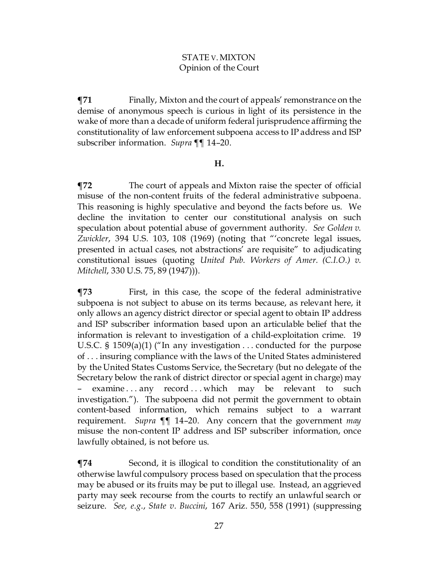**¶71** Finally, Mixton and the court of appeals' remonstrance on the demise of anonymous speech is curious in light of its persistence in the wake of more than a decade of uniform federal jurisprudence affirming the constitutionality of law enforcement subpoena access to IP address and ISP subscriber information. *Supra* ¶¶ 14–20.

## **H.**

**¶72** The court of appeals and Mixton raise the specter of official misuse of the non-content fruits of the federal administrative subpoena. This reasoning is highly speculative and beyond the facts before us. We decline the invitation to center our constitutional analysis on such speculation about potential abuse of government authority. *See Golden v. Zwickler*, 394 U.S. 103, 108 (1969) (noting that "'concrete legal issues, presented in actual cases, not abstractions' are requisite" to adjudicating constitutional issues (quoting *United Pub. Workers of Amer. (C.I.O.) v. Mitchell*, 330 U.S. 75, 89 (1947))).

**¶73** First, in this case, the scope of the federal administrative subpoena is not subject to abuse on its terms because, as relevant here, it only allows an agency district director or special agent to obtain IP address and ISP subscriber information based upon an articulable belief that the information is relevant to investigation of a child-exploitation crime. 19 U.S.C. § 1509(a)(1) ("In any investigation . . . conducted for the purpose of . . . insuring compliance with the laws of the United States administered by the United States Customs Service, the Secretary (but no delegate of the Secretary below the rank of district director or special agent in charge) may examine  $\dots$  any record  $\dots$  which may be relevant to such investigation."). The subpoena did not permit the government to obtain content-based information, which remains subject to a warrant requirement. *Supra* ¶¶ 14–20. Any concern that the government *may* misuse the non-content IP address and ISP subscriber information, once lawfully obtained, is not before us.

**¶74** Second, it is illogical to condition the constitutionality of an otherwise lawful compulsory process based on speculation that the process may be abused or its fruits may be put to illegal use. Instead, an aggrieved party may seek recourse from the courts to rectify an unlawful search or seizure. *See, e.g.*, *State v. Buccini*, 167 Ariz. 550, 558 (1991) (suppressing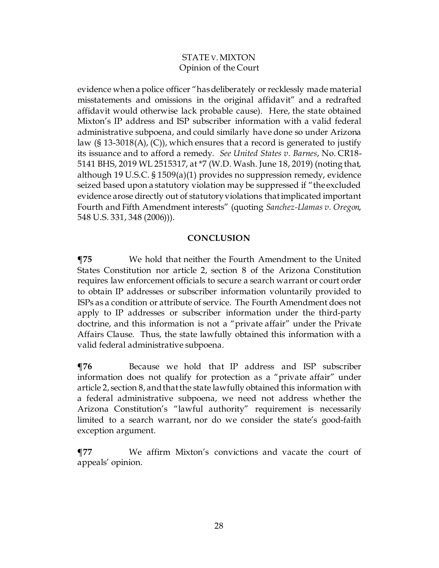evidence when a police officer "has deliberately or recklessly made material misstatements and omissions in the original affidavit" and a redrafted affidavit would otherwise lack probable cause). Here, the state obtained Mixton's IP address and ISP subscriber information with a valid federal administrative subpoena, and could similarly have done so under Arizona law (§ 13-3018(A), (C)), which ensures that a record is generated to justify its issuance and to afford a remedy. *See United States v. Barnes*, No. CR18- 5141 BHS, 2019 WL 2515317, at \*7 (W.D. Wash. June 18, 2019) (noting that, although 19 U.S.C. § 1509(a)(1) provides no suppression remedy, evidence seized based upon a statutory violation may be suppressed if "the excluded evidence arose directly out of statutory violations that implicated important Fourth and Fifth Amendment interests" (quoting *Sanchez-Llamas v. Oregon*, 548 U.S. 331, 348 (2006))).

## **CONCLUSION**

**¶75** We hold that neither the Fourth Amendment to the United States Constitution nor article 2, section 8 of the Arizona Constitution requires law enforcement officials to secure a search warrant or court order to obtain IP addresses or subscriber information voluntarily provided to ISPs as a condition or attribute of service. The Fourth Amendment does not apply to IP addresses or subscriber information under the third-party doctrine, and this information is not a "private affair" under the Private Affairs Clause. Thus, the state lawfully obtained this information with a valid federal administrative subpoena.

**¶76** Because we hold that IP address and ISP subscriber information does not qualify for protection as a "private affair" under article 2, section 8, and that the state lawfully obtained this information with a federal administrative subpoena, we need not address whether the Arizona Constitution's "lawful authority" requirement is necessarily limited to a search warrant, nor do we consider the state's good-faith exception argument.

**¶77** We affirm Mixton's convictions and vacate the court of appeals' opinion.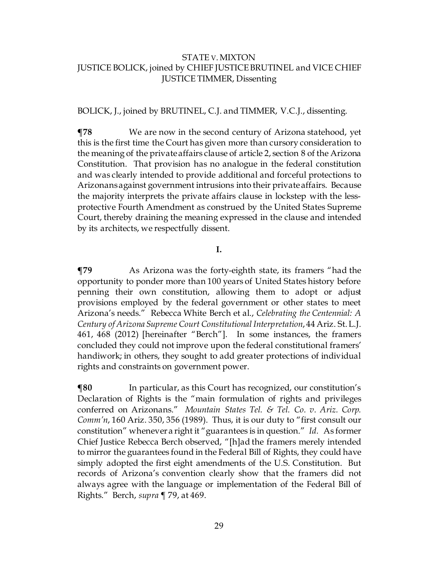#### BOLICK, J., joined by BRUTINEL, C.J. and TIMMER, V.C.J., dissenting.

**¶78** We are now in the second century of Arizona statehood, yet this is the first time the Court has given more than cursory consideration to the meaning of the private affairs clause of article 2, section 8 of the Arizona Constitution. That provision has no analogue in the federal constitution and was clearly intended to provide additional and forceful protections to Arizonans against government intrusions into their private affairs. Because the majority interprets the private affairs clause in lockstep with the lessprotective Fourth Amendment as construed by the United States Supreme Court, thereby draining the meaning expressed in the clause and intended by its architects, we respectfully dissent.

#### **I.**

**¶79** As Arizona was the forty-eighth state, its framers "had the opportunity to ponder more than 100 years of United States history before penning their own constitution, allowing them to adopt or adjust provisions employed by the federal government or other states to meet Arizona's needs." Rebecca White Berch et al., *Celebrating the Centennial: A Century of Arizona Supreme Court Constitutional Interpretation*, 44 Ariz. St. L.J. 461, 468 (2012) [hereinafter "Berch"]. In some instances, the framers concluded they could not improve upon the federal constitutional framers' handiwork; in others, they sought to add greater protections of individual rights and constraints on government power.

**[80** In particular, as this Court has recognized, our constitution's Declaration of Rights is the "main formulation of rights and privileges conferred on Arizonans." *Mountain States Tel. & Tel. Co. v. Ariz. Corp. Comm'n*, 160 Ariz. 350, 356 (1989). Thus, it is our duty to "first consult our constitution" whenever a right it "guarantees is in question." *Id.* As former Chief Justice Rebecca Berch observed, "[h]ad the framers merely intended to mirror the guarantees found in the Federal Bill of Rights, they could have simply adopted the first eight amendments of the U.S. Constitution. But records of Arizona's convention clearly show that the framers did not always agree with the language or implementation of the Federal Bill of Rights." Berch, *supra* ¶ 79, at 469.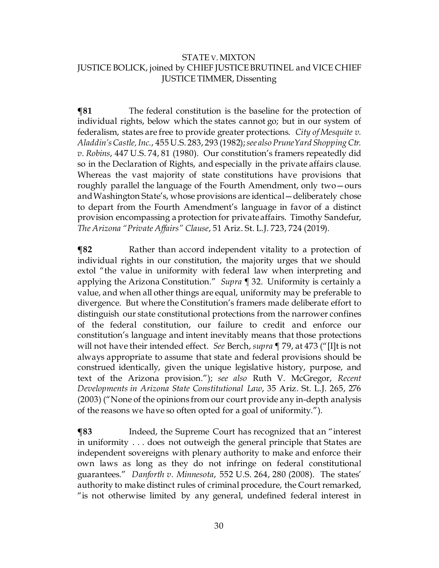**¶81** The federal constitution is the baseline for the protection of individual rights, below which the states cannot go; but in our system of federalism, states are free to provide greater protections*. City of Mesquite v. Aladdin's Castle, Inc.*, 455 U.S. 283, 293 (1982); *see also PruneYard Shopping Ctr. v. Robins*, 447 U.S. 74, 81 (1980). Our constitution's framers repeatedly did so in the Declaration of Rights, and especially in the private affairs clause. Whereas the vast majority of state constitutions have provisions that roughly parallel the language of the Fourth Amendment, only two—ours and Washington State's, whose provisions are identical—deliberately chose to depart from the Fourth Amendment's language in favor of a distinct provision encompassing a protection for private affairs. Timothy Sandefur, *The Arizona "Private Affairs" Clause*, 51 Ariz. St. L.J. 723, 724 (2019).

**¶82** Rather than accord independent vitality to a protection of individual rights in our constitution, the majority urges that we should extol "the value in uniformity with federal law when interpreting and applying the Arizona Constitution." *Supra* ¶ 32. Uniformity is certainly a value, and when all other things are equal, uniformity may be preferable to divergence. But where the Constitution's framers made deliberate effort to distinguish our state constitutional protections from the narrower confines of the federal constitution, our failure to credit and enforce our constitution's language and intent inevitably means that those protections will not have their intended effect. *See* Berch, *supra* ¶ 79, at 473 ("[I]t is not always appropriate to assume that state and federal provisions should be construed identically, given the unique legislative history, purpose, and text of the Arizona provision."); *see also* Ruth V. McGregor, *Recent Developments in Arizona State Constitutional Law*, 35 Ariz. St. L.J. 265, 276 (2003) ("None of the opinions from our court provide any in-depth analysis of the reasons we have so often opted for a goal of uniformity.").

**¶83** Indeed, the Supreme Court has recognized that an "interest in uniformity . . . does not outweigh the general principle that States are independent sovereigns with plenary authority to make and enforce their own laws as long as they do not infringe on federal constitutional guarantees." *Danforth v. Minnesota*, 552 U.S. 264, 280 (2008). The states' authority to make distinct rules of criminal procedure, the Court remarked, "is not otherwise limited by any general, undefined federal interest in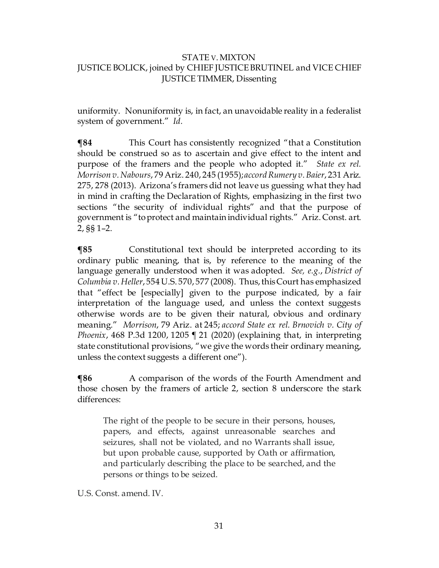uniformity. Nonuniformity is, in fact, an unavoidable reality in a federalist system of government." *Id.*

**¶84** This Court has consistently recognized "that a Constitution should be construed so as to ascertain and give effect to the intent and purpose of the framers and the people who adopted it." *State ex rel. Morrison v. Nabours*, 79 Ariz. 240, 245 (1955); *accord Rumery v. Baier*, 231 Ariz. 275, 278 (2013). Arizona's framers did not leave us guessing what they had in mind in crafting the Declaration of Rights, emphasizing in the first two sections "the security of individual rights" and that the purpose of government is "to protect and maintain individual rights." Ariz. Const. art. 2, §§ 1–2.

**¶85** Constitutional text should be interpreted according to its ordinary public meaning, that is, by reference to the meaning of the language generally understood when it was adopted. *See, e.g.*, *District of Columbia v. Heller*, 554 U.S. 570, 577 (2008). Thus, this Court has emphasized that "effect be [especially] given to the purpose indicated, by a fair interpretation of the language used, and unless the context suggests otherwise words are to be given their natural, obvious and ordinary meaning." *Morrison*, 79 Ariz. at 245; *accord State ex rel. Brnovich v. City of Phoenix*, 468 P.3d 1200, 1205 ¶ 21 (2020) (explaining that, in interpreting state constitutional provisions, "we give the words their ordinary meaning, unless the context suggests a different one").

**¶86** A comparison of the words of the Fourth Amendment and those chosen by the framers of article 2, section 8 underscore the stark differences:

The right of the people to be secure in their persons, houses, papers, and effects, against unreasonable searches and seizures, shall not be violated, and no Warrants shall issue, but upon probable cause, supported by Oath or affirmation, and particularly describing the place to be searched, and the persons or things to be seized.

U.S. Const. amend. IV.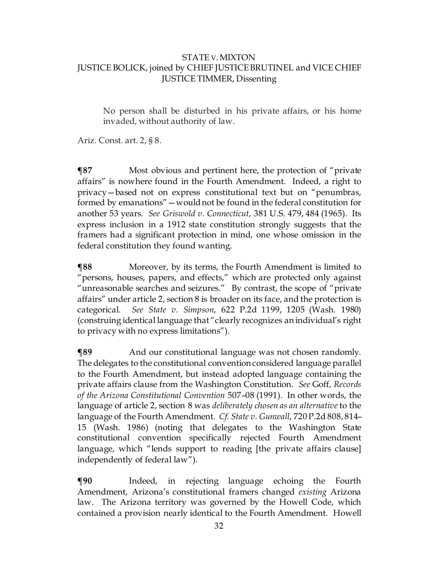No person shall be disturbed in his private affairs, or his home invaded, without authority of law.

Ariz. Const. art. 2, § 8.

**¶87** Most obvious and pertinent here, the protection of "private affairs" is nowhere found in the Fourth Amendment. Indeed, a right to privacy—based not on express constitutional text but on "penumbras, formed by emanations"—would not be found in the federal constitution for another 53 years. *See Griswold v. Connecticut*, 381 U.S. 479, 484 (1965). Its express inclusion in a 1912 state constitution strongly suggests that the framers had a significant protection in mind, one whose omission in the federal constitution they found wanting.

**¶88** Moreover, by its terms, the Fourth Amendment is limited to "persons, houses, papers, and effects," which are protected only against "unreasonable searches and seizures." By contrast, the scope of "private affairs" under article 2, section 8 is broader on its face, and the protection is categorical. *See State v. Simpson*, 622 P.2d 1199, 1205 (Wash. 1980) (construing identical language that "clearly recognizes an individual's right to privacy with no express limitations").

**¶89** And our constitutional language was not chosen randomly. The delegates to the constitutional convention considered language parallel to the Fourth Amendment, but instead adopted language containing the private affairs clause from the Washington Constitution. *See* Goff, *Records of the Arizona Constitutional Convention* 507–08 (1991). In other words, the language of article 2, section 8 was *deliberately chosen as an alternative* to the language of the Fourth Amendment. *Cf. State v. Gunwall*, 720 P.2d 808, 814– 15 (Wash. 1986) (noting that delegates to the Washington State constitutional convention specifically rejected Fourth Amendment language, which "lends support to reading [the private affairs clause] independently of federal law").

**¶90** Indeed, in rejecting language echoing the Fourth Amendment, Arizona's constitutional framers changed *existing* Arizona law. The Arizona territory was governed by the Howell Code, which contained a provision nearly identical to the Fourth Amendment. Howell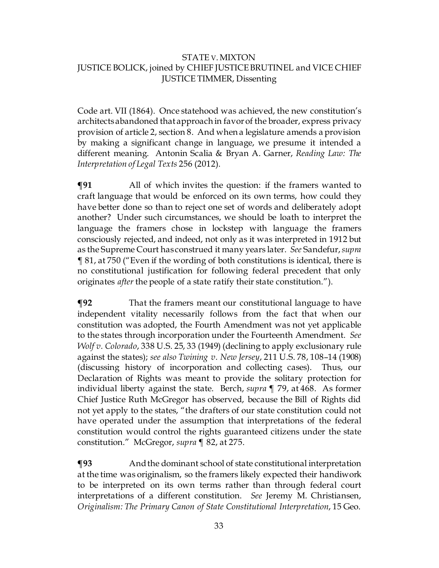Code art. VII (1864). Once statehood was achieved, the new constitution's architects abandoned that approach in favor of the broader, express privacy provision of article 2, section 8. And when a legislature amends a provision by making a significant change in language, we presume it intended a different meaning. Antonin Scalia & Bryan A. Garner, *Reading Law: The Interpretation of Legal Texts* 256 (2012).

**¶91** All of which invites the question: if the framers wanted to craft language that would be enforced on its own terms, how could they have better done so than to reject one set of words and deliberately adopt another? Under such circumstances, we should be loath to interpret the language the framers chose in lockstep with language the framers consciously rejected, and indeed, not only as it was interpreted in 1912 but as the Supreme Court has construed it many years later. *See* Sandefur,*supra* ¶ 81, at 750 ("Even if the wording of both constitutions is identical, there is no constitutional justification for following federal precedent that only originates *after* the people of a state ratify their state constitution.").

**¶92** That the framers meant our constitutional language to have independent vitality necessarily follows from the fact that when our constitution was adopted, the Fourth Amendment was not yet applicable to the states through incorporation under the Fourteenth Amendment. *See Wolf v. Colorado*, 338 U.S. 25, 33 (1949) (declining to apply exclusionary rule against the states); *see also Twining v. New Jersey*, 211 U.S. 78, 108–14 (1908) (discussing history of incorporation and collecting cases). Thus, our Declaration of Rights was meant to provide the solitary protection for individual liberty against the state. Berch, *supra* ¶ 79, at 468. As former Chief Justice Ruth McGregor has observed, because the Bill of Rights did not yet apply to the states, "the drafters of our state constitution could not have operated under the assumption that interpretations of the federal constitution would control the rights guaranteed citizens under the state constitution." McGregor, *supra* ¶ 82, at 275.

**¶93** And the dominant school of state constitutional interpretation at the time was originalism, so the framers likely expected their handiwork to be interpreted on its own terms rather than through federal court interpretations of a different constitution. *See* Jeremy M. Christiansen, *Originalism: The Primary Canon of State Constitutional Interpretation*, 15 Geo.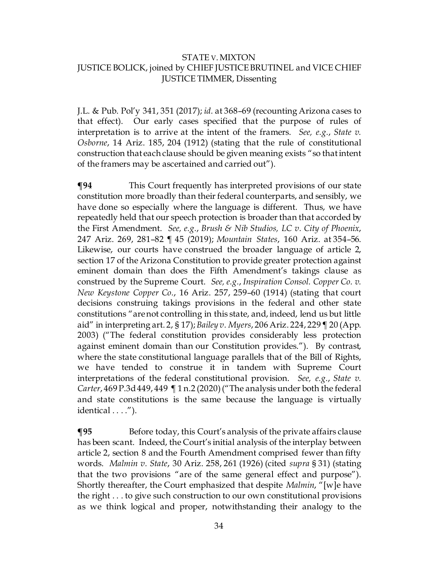J.L. & Pub. Pol'y 341, 351 (2017); *id.* at 368–69 (recounting Arizona cases to that effect). Our early cases specified that the purpose of rules of interpretation is to arrive at the intent of the framers. *See, e.g.*, *State v. Osborne*, 14 Ariz. 185, 204 (1912) (stating that the rule of constitutional construction that each clause should be given meaning exists "so that intent of the framers may be ascertained and carried out").

**¶94** This Court frequently has interpreted provisions of our state constitution more broadly than their federal counterparts, and sensibly, we have done so especially where the language is different. Thus, we have repeatedly held that our speech protection is broader than that accorded by the First Amendment. *See, e.g.*, *Brush & Nib Studios, LC v. City of Phoenix*, 247 Ariz. 269, 281–82 ¶ 45 (2019); *Mountain States*, 160 Ariz. at 354–56. Likewise, our courts have construed the broader language of article 2, section 17 of the Arizona Constitution to provide greater protection against eminent domain than does the Fifth Amendment's takings clause as construed by the Supreme Court. *See, e.g.*, *Inspiration Consol. Copper Co. v. New Keystone Copper Co.*, 16 Ariz. 257, 259–60 (1914) (stating that court decisions construing takings provisions in the federal and other state constitutions "are not controlling in this state, and, indeed, lend us but little aid" in interpreting art. 2, § 17); *Bailey v. Myers*, 206 Ariz. 224, 229 ¶ 20 (App. 2003) ("The federal constitution provides considerably less protection against eminent domain than our Constitution provides."). By contrast, where the state constitutional language parallels that of the Bill of Rights, we have tended to construe it in tandem with Supreme Court interpretations of the federal constitutional provision. *See, e.g.*, *State v. Carter*, 469 P.3d 449, 449 ¶ 1 n.2 (2020) ("The analysis under both the federal and state constitutions is the same because the language is virtually identical . . . .").

**¶95** Before today, this Court's analysis of the private affairs clause has been scant. Indeed, the Court's initial analysis of the interplay between article 2, section 8 and the Fourth Amendment comprised fewer than fifty words. *Malmin v. State*, 30 Ariz. 258, 261 (1926) (cited *supra* § 31) (stating that the two provisions "are of the same general effect and purpose"). Shortly thereafter, the Court emphasized that despite *Malmin*, "[w]e have the right . . . to give such construction to our own constitutional provisions as we think logical and proper, notwithstanding their analogy to the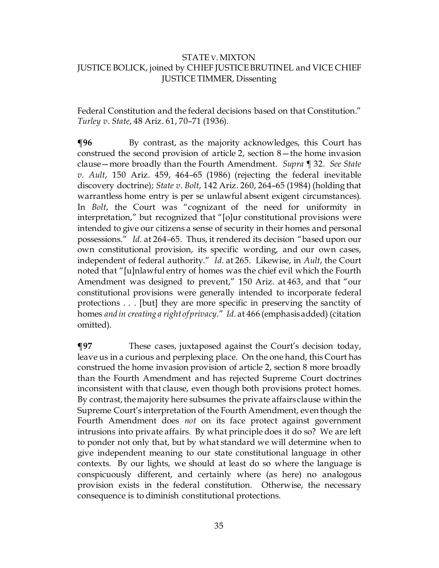Federal Constitution and the federal decisions based on that Constitution." *Turley v. State*, 48 Ariz. 61, 70–71 (1936).

**¶96** By contrast, as the majority acknowledges, this Court has construed the second provision of article 2, section 8—the home invasion clause—more broadly than the Fourth Amendment. *Supra* ¶ 32. *See State v. Ault*, 150 Ariz. 459, 464–65 (1986) (rejecting the federal inevitable discovery doctrine); *State v. Bolt*, 142 Ariz. 260, 264–65 (1984) (holding that warrantless home entry is per se unlawful absent exigent circumstances). In *Bolt*, the Court was "cognizant of the need for uniformity in interpretation," but recognized that "[o]ur constitutional provisions were intended to give our citizens a sense of security in their homes and personal possessions." *Id.* at 264–65. Thus, it rendered its decision "based upon our own constitutional provision, its specific wording, and our own cases, independent of federal authority." *Id.* at 265. Likewise, in *Ault*, the Court noted that "[u]nlawful entry of homes was the chief evil which the Fourth Amendment was designed to prevent," 150 Ariz. at 463, and that "our constitutional provisions were generally intended to incorporate federal protections . . . [but] they are more specific in preserving the sanctity of homes *and in creating a right of privacy*." *Id.* at 466 (emphasis added) (citation omitted).

**¶97** These cases, juxtaposed against the Court's decision today, leave us in a curious and perplexing place. On the one hand, this Court has construed the home invasion provision of article 2, section 8 more broadly than the Fourth Amendment and has rejected Supreme Court doctrines inconsistent with that clause, even though both provisions protect homes. By contrast, the majority here subsumes the private affairs clause within the Supreme Court's interpretation of the Fourth Amendment, even though the Fourth Amendment does *not* on its face protect against government intrusions into private affairs. By what principle does it do so? We are left to ponder not only that, but by what standard we will determine when to give independent meaning to our state constitutional language in other contexts. By our lights, we should at least do so where the language is conspicuously different, and certainly where (as here) no analogous provision exists in the federal constitution. Otherwise, the necessary consequence is to diminish constitutional protections.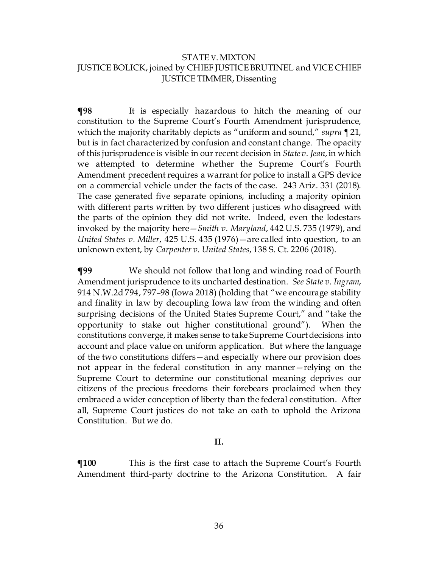**¶98** It is especially hazardous to hitch the meaning of our constitution to the Supreme Court's Fourth Amendment jurisprudence, which the majority charitably depicts as "uniform and sound," *supra ¶* 21, but is in fact characterized by confusion and constant change. The opacity of this jurisprudence is visible in our recent decision in *State v. Jean*, in which we attempted to determine whether the Supreme Court's Fourth Amendment precedent requires a warrant for police to install a GPS device on a commercial vehicle under the facts of the case. 243 Ariz. 331 (2018). The case generated five separate opinions, including a majority opinion with different parts written by two different justices who disagreed with the parts of the opinion they did not write. Indeed, even the lodestars invoked by the majority here—*Smith v. Maryland*, 442 U.S. 735 (1979), and *United States v. Miller*, 425 U.S. 435 (1976)—are called into question, to an unknown extent, by *Carpenter v. United States*, 138 S. Ct. 2206 (2018).

**¶99** We should not follow that long and winding road of Fourth Amendment jurisprudence to its uncharted destination. *See State v. Ingram*, 914 N.W.2d 794, 797–98 (Iowa 2018) (holding that "we encourage stability and finality in law by decoupling Iowa law from the winding and often surprising decisions of the United States Supreme Court," and "take the opportunity to stake out higher constitutional ground"). When the constitutions converge, it makes sense to take Supreme Court decisions into account and place value on uniform application. But where the language of the two constitutions differs—and especially where our provision does not appear in the federal constitution in any manner—relying on the Supreme Court to determine our constitutional meaning deprives our citizens of the precious freedoms their forebears proclaimed when they embraced a wider conception of liberty than the federal constitution. After all, Supreme Court justices do not take an oath to uphold the Arizona Constitution. But we do.

#### **II.**

**¶100** This is the first case to attach the Supreme Court's Fourth Amendment third-party doctrine to the Arizona Constitution. A fair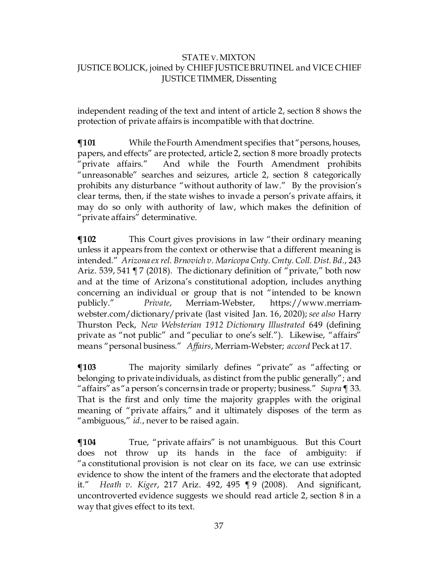independent reading of the text and intent of article 2, section 8 shows the protection of private affairs is incompatible with that doctrine.

 $\P$ **101** While the Fourth Amendment specifies that "persons, houses, papers, and effects" are protected, article 2, section 8 more broadly protects "private affairs." And while the Fourth Amendment prohibits "unreasonable" searches and seizures, article 2, section 8 categorically prohibits any disturbance "without authority of law." By the provision's clear terms, then, if the state wishes to invade a person's private affairs, it may do so only with authority of law, which makes the definition of "private affairs" determinative.

**¶102** This Court gives provisions in law "their ordinary meaning unless it appears from the context or otherwise that a different meaning is intended." *Arizona ex rel. Brnovich v. Maricopa Cnty. Cmty. Coll. Dist. Bd.*, 243 Ariz. 539, 541 ¶ 7 (2018). The dictionary definition of "private," both now and at the time of Arizona's constitutional adoption, includes anything concerning an individual or group that is not "intended to be known publicly." *Private*, Merriam-Webster, https://www.merriamwebster.com/dictionary/private (last visited Jan. 16, 2020); *see also* Harry Thurston Peck, *New Websterian 1912 Dictionary Illustrated* 649 (defining private as "not public" and "peculiar to one's self."). Likewise, "affairs" means "personal business." *Affairs*, Merriam-Webster; *accord* Peck at 17.

**¶103** The majority similarly defines "private" as "affecting or belonging to private individuals, as distinct from the public generally"; and "affairs" as "a person's concerns in trade or property; business." *Supra*¶ 33. That is the first and only time the majority grapples with the original meaning of "private affairs," and it ultimately disposes of the term as "ambiguous," *id.*, never to be raised again.

 $\P$ **104** True, "private affairs" is not unambiguous. But this Court does not throw up its hands in the face of ambiguity: if "a constitutional provision is not clear on its face, we can use extrinsic evidence to show the intent of the framers and the electorate that adopted it." *Heath v. Kiger*, 217 Ariz. 492, 495 ¶ 9 (2008). And significant, uncontroverted evidence suggests we should read article 2, section 8 in a way that gives effect to its text.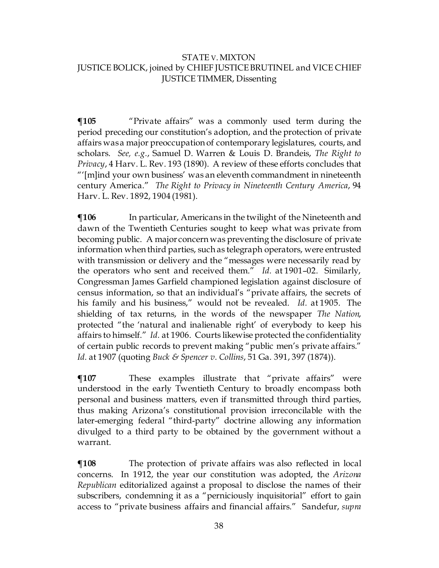$\P$ **105** "Private affairs" was a commonly used term during the period preceding our constitution's adoption, and the protection of private affairs was a major preoccupation of contemporary legislatures, courts, and scholars. *See, e.g.*, Samuel D. Warren & Louis D. Brandeis, *The Right to Privacy*, 4 Harv. L. Rev. 193 (1890). A review of these efforts concludes that "'[m]ind your own business' was an eleventh commandment in nineteenth century America." *The Right to Privacy in Nineteenth Century America*, 94 Harv. L. Rev. 1892, 1904 (1981).

**¶106** In particular, Americans in the twilight of the Nineteenth and dawn of the Twentieth Centuries sought to keep what was private from becoming public. A major concern was preventing the disclosure of private information when third parties, such as telegraph operators, were entrusted with transmission or delivery and the "messages were necessarily read by the operators who sent and received them." *Id.* at 1901–02. Similarly, Congressman James Garfield championed legislation against disclosure of census information, so that an individual's "private affairs, the secrets of his family and his business," would not be revealed. *Id.* at 1905. The shielding of tax returns, in the words of the newspaper *The Nation*, protected "the 'natural and inalienable right' of everybody to keep his affairs to himself." *Id.* at 1906. Courts likewise protected the confidentiality of certain public records to prevent making "public men's private affairs." *Id.* at 1907 (quoting *Buck & Spencer v. Collins*, 51 Ga. 391, 397 (1874)).

**¶107** These examples illustrate that "private affairs" were understood in the early Twentieth Century to broadly encompass both personal and business matters, even if transmitted through third parties, thus making Arizona's constitutional provision irreconcilable with the later-emerging federal "third-party" doctrine allowing any information divulged to a third party to be obtained by the government without a warrant.

 $\P$ **108** The protection of private affairs was also reflected in local concerns. In 1912, the year our constitution was adopted, the *Arizona Republican* editorialized against a proposal to disclose the names of their subscribers, condemning it as a "perniciously inquisitorial" effort to gain access to "private business affairs and financial affairs." Sandefur, *supra*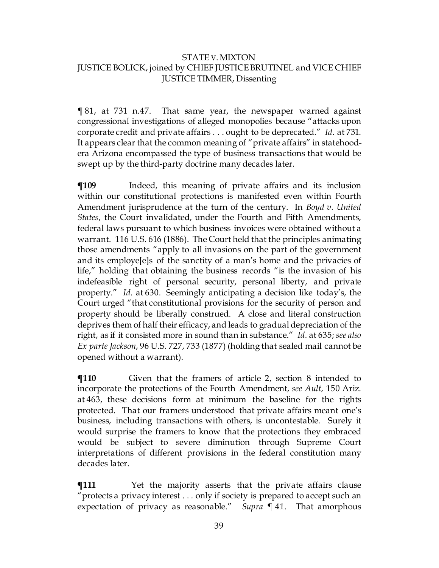¶ 81, at 731 n.47. That same year, the newspaper warned against congressional investigations of alleged monopolies because "attacks upon corporate credit and private affairs . . . ought to be deprecated." *Id.* at 731. It appears clear that the common meaning of "private affairs" in statehoodera Arizona encompassed the type of business transactions that would be swept up by the third-party doctrine many decades later.

 $\P$ **109** Indeed, this meaning of private affairs and its inclusion within our constitutional protections is manifested even within Fourth Amendment jurisprudence at the turn of the century. In *Boyd v. United States*, the Court invalidated, under the Fourth and Fifth Amendments, federal laws pursuant to which business invoices were obtained without a warrant. 116 U.S. 616 (1886). The Court held that the principles animating those amendments "apply to all invasions on the part of the government and its employe[e]s of the sanctity of a man's home and the privacies of life," holding that obtaining the business records "is the invasion of his indefeasible right of personal security, personal liberty, and private property." *Id.* at 630. Seemingly anticipating a decision like today's, the Court urged "that constitutional provisions for the security of person and property should be liberally construed. A close and literal construction deprives them of half their efficacy, and leads to gradual depreciation of the right, as if it consisted more in sound than in substance." *Id.* at 635; *see also Ex parte Jackson*, 96 U.S. 727, 733 (1877) (holding that sealed mail cannot be opened without a warrant).

 $$$  **T110** Given that the framers of article 2, section 8 intended to incorporate the protections of the Fourth Amendment, *see Ault*, 150 Ariz. at 463, these decisions form at minimum the baseline for the rights protected. That our framers understood that private affairs meant one's business, including transactions with others, is uncontestable. Surely it would surprise the framers to know that the protections they embraced would be subject to severe diminution through Supreme Court interpretations of different provisions in the federal constitution many decades later.

**The Term** Yet the majority asserts that the private affairs clause "protects a privacy interest . . . only if society is prepared to accept such an expectation of privacy as reasonable." *Supra* ¶ 41. That amorphous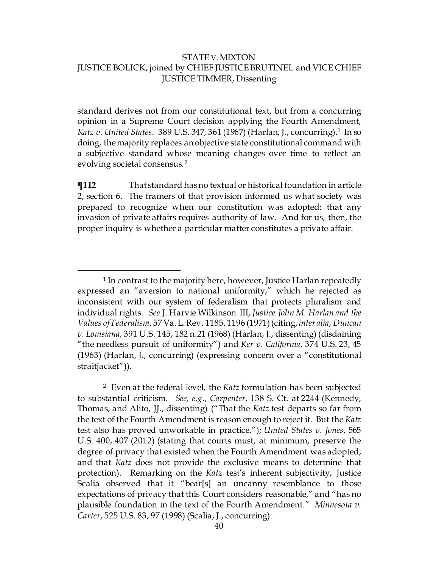standard derives not from our constitutional text, but from a concurring opinion in a Supreme Court decision applying the Fourth Amendment, *Katz v. United States*.389 U.S. 347, 361 (1967) (Harlan, J., concurring).[1](#page-39-0) In so doing, the majority replaces an objective state constitutional command with a subjective standard whose meaning changes over time to reflect an evolving societal consensus.[2](#page-39-1)

**¶112** That standard has no textual or historical foundation in article 2, section 6. The framers of that provision informed us what society was prepared to recognize when our constitution was adopted: that any invasion of private affairs requires authority of law. And for us, then, the proper inquiry is whether a particular matter constitutes a private affair.

<span id="page-39-0"></span><sup>&</sup>lt;sup>1</sup> In contrast to the majority here, however, Justice Harlan repeatedly expressed an "aversion to national uniformity," which he rejected as inconsistent with our system of federalism that protects pluralism and individual rights. *See* J. Harvie Wilkinson III, *Justice John M. Harlan and the Values of Federalism*, 57 Va. L. Rev. 1185, 1196 (1971) (citing, *inter alia*, *Duncan v. Louisiana*, 391 U.S. 145, 182 n.21 (1968) (Harlan, J., dissenting) (disdaining "the needless pursuit of uniformity") and *Ker v. California*, 374 U.S. 23, 45 (1963) (Harlan, J., concurring) (expressing concern over a "constitutional straitjacket")).

<span id="page-39-1"></span><sup>2</sup> Even at the federal level, the *Katz* formulation has been subjected to substantial criticism. *See, e.g.*, *Carpenter*, 138 S. Ct. at 2244 (Kennedy, Thomas, and Alito, JJ., dissenting) ("That the *Katz* test departs so far from the text of the Fourth Amendment is reason enough to reject it. But the *Katz*  test also has proved unworkable in practice."); *United States v. Jones*, 565 U.S. 400, 407 (2012) (stating that courts must, at minimum, preserve the degree of privacy that existed when the Fourth Amendment was adopted, and that *Katz* does not provide the exclusive means to determine that protection). Remarking on the *Katz* test's inherent subjectivity, Justice Scalia observed that it "bear[s] an uncanny resemblance to those expectations of privacy that this Court considers reasonable," and "has no plausible foundation in the text of the Fourth Amendment." *Minnesota v. Carter*, 525 U.S. 83, 97 (1998) (Scalia, J., concurring).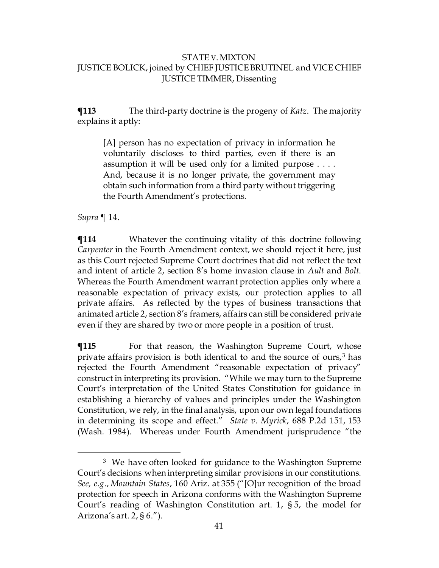**¶113** The third-party doctrine is the progeny of *Katz*. The majority explains it aptly:

[A] person has no expectation of privacy in information he voluntarily discloses to third parties, even if there is an assumption it will be used only for a limited purpose . . . . And, because it is no longer private, the government may obtain such information from a third party without triggering the Fourth Amendment's protections.

*Supra* ¶ 14.

**¶114** Whatever the continuing vitality of this doctrine following *Carpenter* in the Fourth Amendment context, we should reject it here, just as this Court rejected Supreme Court doctrines that did not reflect the text and intent of article 2, section 8's home invasion clause in *Ault* and *Bolt*. Whereas the Fourth Amendment warrant protection applies only where a reasonable expectation of privacy exists, our protection applies to all private affairs. As reflected by the types of business transactions that animated article 2, section 8's framers, affairs can still be considered private even if they are shared by two or more people in a position of trust.

**¶115** For that reason, the Washington Supreme Court, whose private affairs provision is both identical to and the source of ours, $3$  has rejected the Fourth Amendment "reasonable expectation of privacy" construct in interpreting its provision. "While we may turn to the Supreme Court's interpretation of the United States Constitution for guidance in establishing a hierarchy of values and principles under the Washington Constitution, we rely, in the final analysis, upon our own legal foundations in determining its scope and effect." *State v. Myrick*, 688 P.2d 151, 153 (Wash. 1984). Whereas under Fourth Amendment jurisprudence "the

<span id="page-40-0"></span><sup>&</sup>lt;sup>3</sup> We have often looked for guidance to the Washington Supreme Court's decisions when interpreting similar provisions in our constitutions. *See, e.g.*, *Mountain States*, 160 Ariz. at 355 ("[O]ur recognition of the broad protection for speech in Arizona conforms with the Washington Supreme Court's reading of Washington Constitution art. 1, § 5, the model for Arizona's art. 2, § 6.").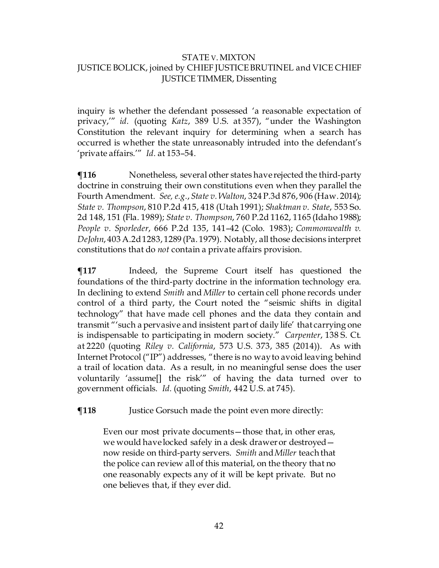inquiry is whether the defendant possessed 'a reasonable expectation of privacy,'" *id.* (quoting *Katz*, 389 U.S. at 357), "under the Washington Constitution the relevant inquiry for determining when a search has occurred is whether the state unreasonably intruded into the defendant's 'private affairs.'" *Id.* at 153–54.

**¶116** Nonetheless, several other states have rejected the third-party doctrine in construing their own constitutions even when they parallel the Fourth Amendment. *See, e.g.*, *State v. Walton*, 324 P.3d 876, 906 (Haw. 2014); *State v. Thompson*, 810 P.2d 415, 418 (Utah 1991); *Shaktman v. State*, 553 So. 2d 148, 151 (Fla. 1989); *State v. Thompson*, 760 P.2d 1162, 1165 (Idaho 1988); *People v. Sporleder*, 666 P.2d 135, 141–42 (Colo. 1983); *Commonwealth v. DeJohn*, 403 A.2d 1283, 1289 (Pa. 1979). Notably, all those decisions interpret constitutions that do *not* contain a private affairs provision.

**The Tena** Indeed, the Supreme Court itself has questioned the foundations of the third-party doctrine in the information technology era. In declining to extend *Smith* and *Miller* to certain cell phone records under control of a third party, the Court noted the "seismic shifts in digital technology" that have made cell phones and the data they contain and transmit "'such a pervasive and insistent part of daily life' that carrying one is indispensable to participating in modern society." *Carpenter*, 138 S. Ct. at 2220 (quoting *Riley v. California*, 573 U.S. 373, 385 (2014)). As with Internet Protocol ("IP") addresses, "there is no way to avoid leaving behind a trail of location data. As a result, in no meaningful sense does the user voluntarily 'assume[] the risk'" of having the data turned over to government officials. *Id.* (quoting *Smith*, 442 U.S. at 745).

**¶118** Justice Gorsuch made the point even more directly:

Even our most private documents—those that, in other eras, we would have locked safely in a desk drawer or destroyed now reside on third-party servers. *Smith* and *Miller* teach that the police can review all of this material, on the theory that no one reasonably expects any of it will be kept private. But no one believes that, if they ever did.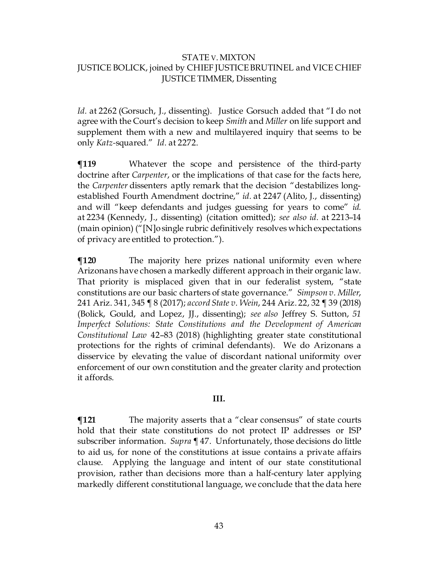*Id.* at 2262 (Gorsuch, J., dissenting). Justice Gorsuch added that "I do not agree with the Court's decision to keep *Smith* and *Miller* on life support and supplement them with a new and multilayered inquiry that seems to be only *Katz-*squared." *Id.* at 2272.

**¶119** Whatever the scope and persistence of the third-party doctrine after *Carpenter*, or the implications of that case for the facts here, the *Carpenter* dissenters aptly remark that the decision "destabilizes longestablished Fourth Amendment doctrine," *id.* at 2247 (Alito, J., dissenting) and will "keep defendants and judges guessing for years to come" *id.*  at 2234 (Kennedy, J., dissenting) (citation omitted); *see also id.* at 2213–14 (main opinion) ("[N]o single rubric definitively resolves which expectations of privacy are entitled to protection.").

**¶120** The majority here prizes national uniformity even where Arizonans have chosen a markedly different approach in their organic law. That priority is misplaced given that in our federalist system, "state constitutions are our basic charters of state governance." *Simpson v. Miller*, 241 Ariz. 341, 345 ¶ 8 (2017); *accord State v. Wein*, 244 Ariz. 22, 32 ¶ 39 (2018) (Bolick, Gould, and Lopez, JJ., dissenting); *see also* Jeffrey S. Sutton, *51 Imperfect Solutions: State Constitutions and the Development of American Constitutional Law* 42–83 (2018) (highlighting greater state constitutional protections for the rights of criminal defendants). We do Arizonans a disservice by elevating the value of discordant national uniformity over enforcement of our own constitution and the greater clarity and protection it affords.

#### **III.**

**¶121** The majority asserts that a "clear consensus" of state courts hold that their state constitutions do not protect IP addresses or ISP subscriber information. *Supra* ¶ 47. Unfortunately, those decisions do little to aid us, for none of the constitutions at issue contains a private affairs clause. Applying the language and intent of our state constitutional provision, rather than decisions more than a half-century later applying markedly different constitutional language, we conclude that the data here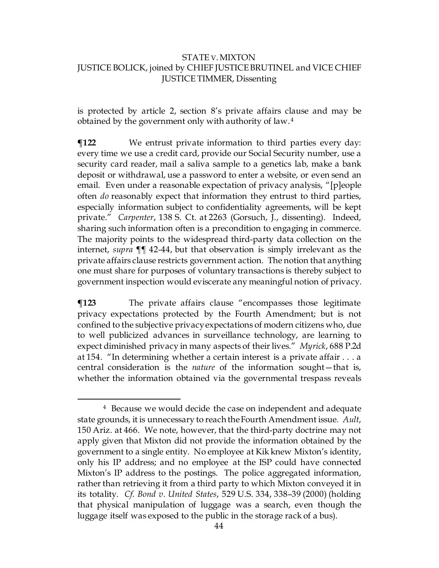is protected by article 2, section 8's private affairs clause and may be obtained by the government only with authority of law.<sup>[4](#page-43-0)</sup>

**¶122** We entrust private information to third parties every day: every time we use a credit card, provide our Social Security number, use a security card reader, mail a saliva sample to a genetics lab, make a bank deposit or withdrawal, use a password to enter a website, or even send an email. Even under a reasonable expectation of privacy analysis, "[p]eople often *do* reasonably expect that information they entrust to third parties, especially information subject to confidentiality agreements, will be kept private." *Carpenter*, 138 S. Ct. at 2263 (Gorsuch, J., dissenting). Indeed, sharing such information often is a precondition to engaging in commerce. The majority points to the widespread third-party data collection on the internet, *supra* ¶¶ 42-44, but that observation is simply irrelevant as the private affairs clause restricts government action. The notion that anything one must share for purposes of voluntary transactions is thereby subject to government inspection would eviscerate any meaningful notion of privacy.

**¶123** The private affairs clause "encompasses those legitimate privacy expectations protected by the Fourth Amendment; but is not confined to the subjective privacy expectations of modern citizens who, due to well publicized advances in surveillance technology, are learning to expect diminished privacy in many aspects of their lives." *Myrick*, 688 P.2d at 154. "In determining whether a certain interest is a private affair . . . a central consideration is the *nature* of the information sought—that is, whether the information obtained via the governmental trespass reveals

<span id="page-43-0"></span><sup>&</sup>lt;sup>4</sup> Because we would decide the case on independent and adequate state grounds, it is unnecessary to reach the Fourth Amendment issue. *Ault*, 150 Ariz. at 466. We note, however, that the third-party doctrine may not apply given that Mixton did not provide the information obtained by the government to a single entity. No employee at Kik knew Mixton's identity, only his IP address; and no employee at the ISP could have connected Mixton's IP address to the postings. The police aggregated information, rather than retrieving it from a third party to which Mixton conveyed it in its totality. *Cf. Bond v. United States*, 529 U.S. 334, 338–39 (2000) (holding that physical manipulation of luggage was a search, even though the luggage itself was exposed to the public in the storage rack of a bus).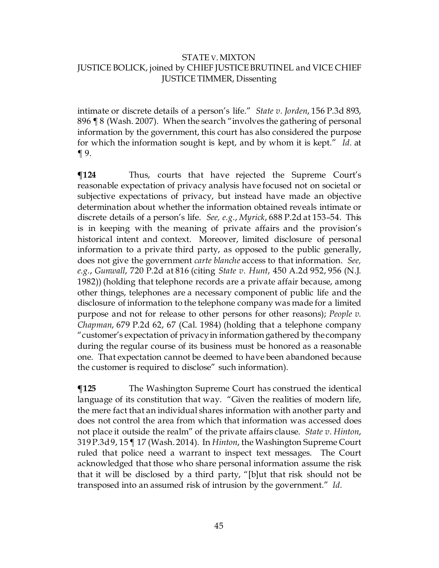intimate or discrete details of a person's life." *State v. Jorden*, 156 P.3d 893, 896 ¶ 8 (Wash. 2007). When the search "involves the gathering of personal information by the government, this court has also considered the purpose for which the information sought is kept, and by whom it is kept." *Id.* at  $\P$  9.

**¶124** Thus, courts that have rejected the Supreme Court's reasonable expectation of privacy analysis have focused not on societal or subjective expectations of privacy, but instead have made an objective determination about whether the information obtained reveals intimate or discrete details of a person's life. *See, e.g.*, *Myrick*, 688 P.2d at 153–54. This is in keeping with the meaning of private affairs and the provision's historical intent and context. Moreover, limited disclosure of personal information to a private third party, as opposed to the public generally, does not give the government *carte blanche* access to that information. *See, e.g.*, *Gunwall*, 720 P.2d at 816 (citing *State v. Hunt*, 450 A.2d 952, 956 (N.J. 1982)) (holding that telephone records are a private affair because, among other things, telephones are a necessary component of public life and the disclosure of information to the telephone company was made for a limited purpose and not for release to other persons for other reasons); *People v. Chapman*, 679 P.2d 62, 67 (Cal. 1984) (holding that a telephone company "customer's expectation of privacy in information gathered by the company during the regular course of its business must be honored as a reasonable one. That expectation cannot be deemed to have been abandoned because the customer is required to disclose" such information).

**¶125** The Washington Supreme Court has construed the identical language of its constitution that way. "Given the realities of modern life, the mere fact that an individual shares information with another party and does not control the area from which that information was accessed does not place it outside the realm" of the private affairs clause. *State v. Hinton*, 319 P.3d 9, 15 ¶ 17 (Wash. 2014). In *Hinton*, the Washington Supreme Court ruled that police need a warrant to inspect text messages. The Court acknowledged that those who share personal information assume the risk that it will be disclosed by a third party, "[b]ut that risk should not be transposed into an assumed risk of intrusion by the government." *Id.*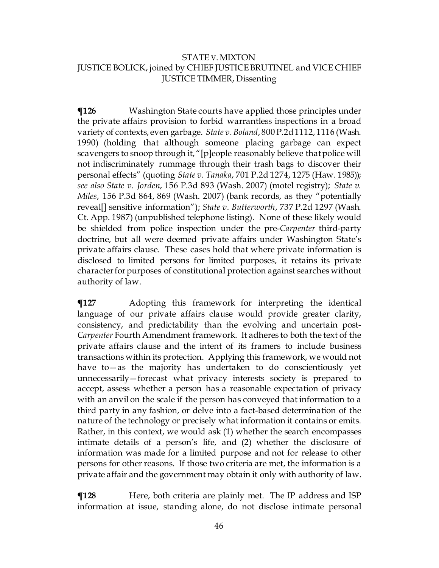**¶126** Washington State courts have applied those principles under the private affairs provision to forbid warrantless inspections in a broad variety of contexts, even garbage. *State v. Boland*, 800 P.2d 1112, 1116 (Wash. 1990) (holding that although someone placing garbage can expect scavengers to snoop through it, "[p]eople reasonably believe that police will not indiscriminately rummage through their trash bags to discover their personal effects" (quoting *State v. Tanaka*, 701 P.2d 1274, 1275 (Haw. 1985)); *see also State v. Jorden*, 156 P.3d 893 (Wash. 2007) (motel registry); *State v. Miles*, 156 P.3d 864, 869 (Wash. 2007) (bank records, as they "potentially reveal[] sensitive information"); *State v. Butterworth*, 737 P.2d 1297 (Wash. Ct. App. 1987) (unpublished telephone listing). None of these likely would be shielded from police inspection under the pre-*Carpenter* third-party doctrine, but all were deemed private affairs under Washington State's private affairs clause. These cases hold that where private information is disclosed to limited persons for limited purposes, it retains its private character for purposes of constitutional protection against searches without authority of law.

**¶127** Adopting this framework for interpreting the identical language of our private affairs clause would provide greater clarity, consistency, and predictability than the evolving and uncertain post-*Carpenter* Fourth Amendment framework. It adheres to both the text of the private affairs clause and the intent of its framers to include business transactions within its protection. Applying this framework, we would not have to—as the majority has undertaken to do conscientiously yet unnecessarily—forecast what privacy interests society is prepared to accept, assess whether a person has a reasonable expectation of privacy with an anvil on the scale if the person has conveyed that information to a third party in any fashion, or delve into a fact-based determination of the nature of the technology or precisely what information it contains or emits. Rather, in this context, we would ask (1) whether the search encompasses intimate details of a person's life, and (2) whether the disclosure of information was made for a limited purpose and not for release to other persons for other reasons. If those two criteria are met, the information is a private affair and the government may obtain it only with authority of law.

 $\P$ **128** Here, both criteria are plainly met. The IP address and ISP information at issue, standing alone, do not disclose intimate personal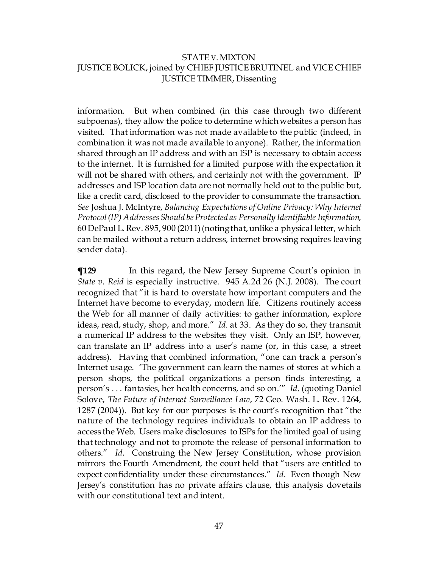information. But when combined (in this case through two different subpoenas), they allow the police to determine which websites a person has visited. That information was not made available to the public (indeed, in combination it was not made available to anyone). Rather, the information shared through an IP address and with an ISP is necessary to obtain access to the internet. It is furnished for a limited purpose with the expectation it will not be shared with others, and certainly not with the government.  $\mathbb P$ addresses and ISP location data are not normally held out to the public but, like a credit card, disclosed to the provider to consummate the transaction. *See* Joshua J. McIntyre, *Balancing Expectations of Online Privacy: Why Internet Protocol (IP) Addresses Should be Protected as Personally Identifiable Information*, 60 DePaul L. Rev. 895, 900 (2011) (noting that, unlike a physical letter, which can be mailed without a return address, internet browsing requires leaving sender data).

**The 129** In this regard, the New Jersey Supreme Court's opinion in *State v. Reid* is especially instructive. 945 A.2d 26 (N.J. 2008). The court recognized that "it is hard to overstate how important computers and the Internet have become to everyday, modern life. Citizens routinely access the Web for all manner of daily activities: to gather information, explore ideas, read, study, shop, and more." *Id.* at 33. As they do so, they transmit a numerical IP address to the websites they visit. Only an ISP, however, can translate an IP address into a user's name (or, in this case, a street address). Having that combined information, "one can track a person's Internet usage. 'The government can learn the names of stores at which a person shops, the political organizations a person finds interesting, a person's . . . fantasies, her health concerns, and so on.'" *Id.* (quoting Daniel Solove, *The Future of Internet Surveillance Law*, 72 Geo. Wash. L. Rev. 1264, 1287 (2004)). But key for our purposes is the court's recognition that "the nature of the technology requires individuals to obtain an IP address to access the Web. Users make disclosures to ISPs for the limited goal of using that technology and not to promote the release of personal information to others." *Id.* Construing the New Jersey Constitution, whose provision mirrors the Fourth Amendment, the court held that "users are entitled to expect confidentiality under these circumstances." *Id.* Even though New Jersey's constitution has no private affairs clause, this analysis dovetails with our constitutional text and intent.